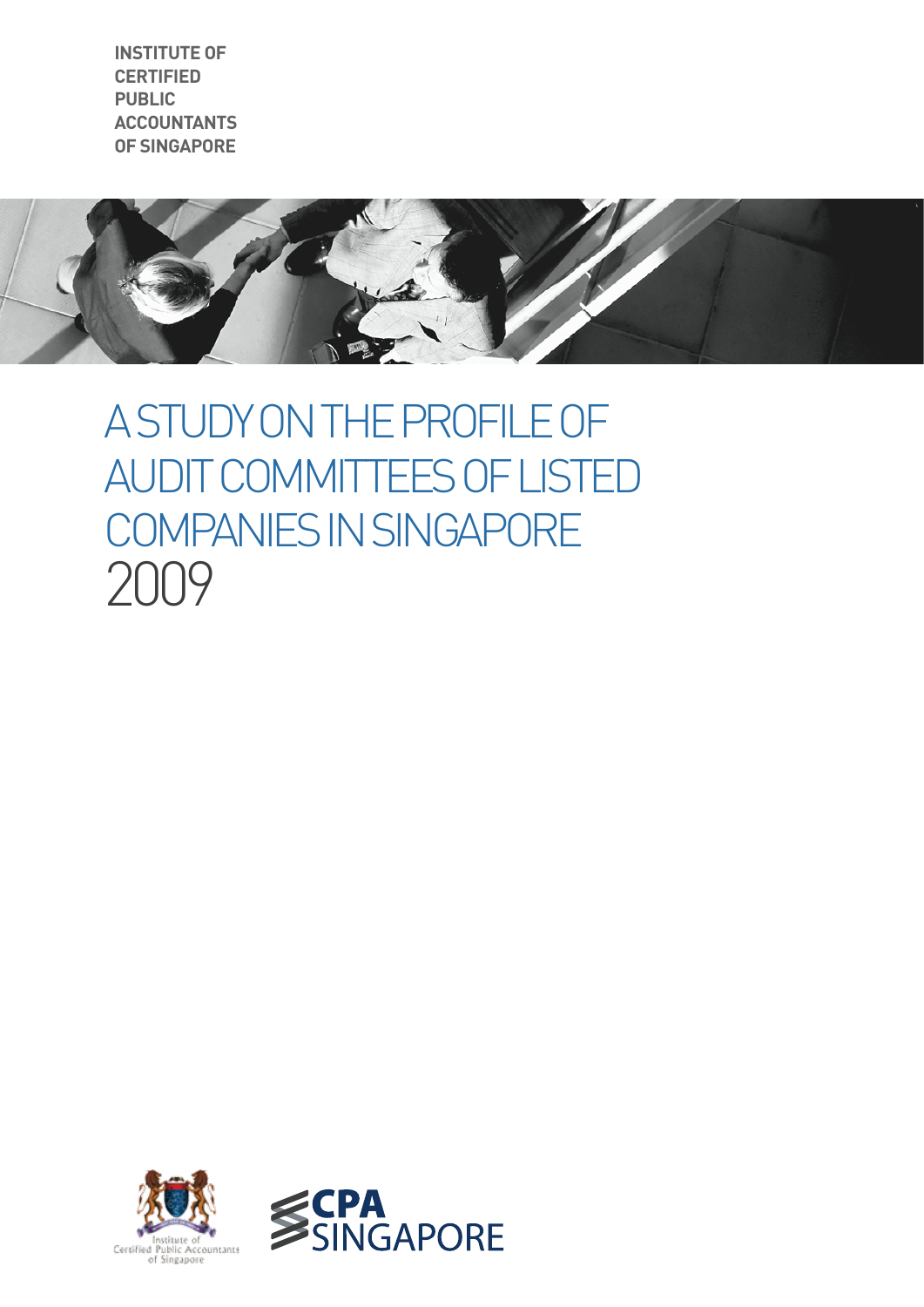**institute of certified public accountants Of singaporE**



# A Study on the Profile of AUDIT COMMITTEES OF LISTED Companies in Singapore 2009

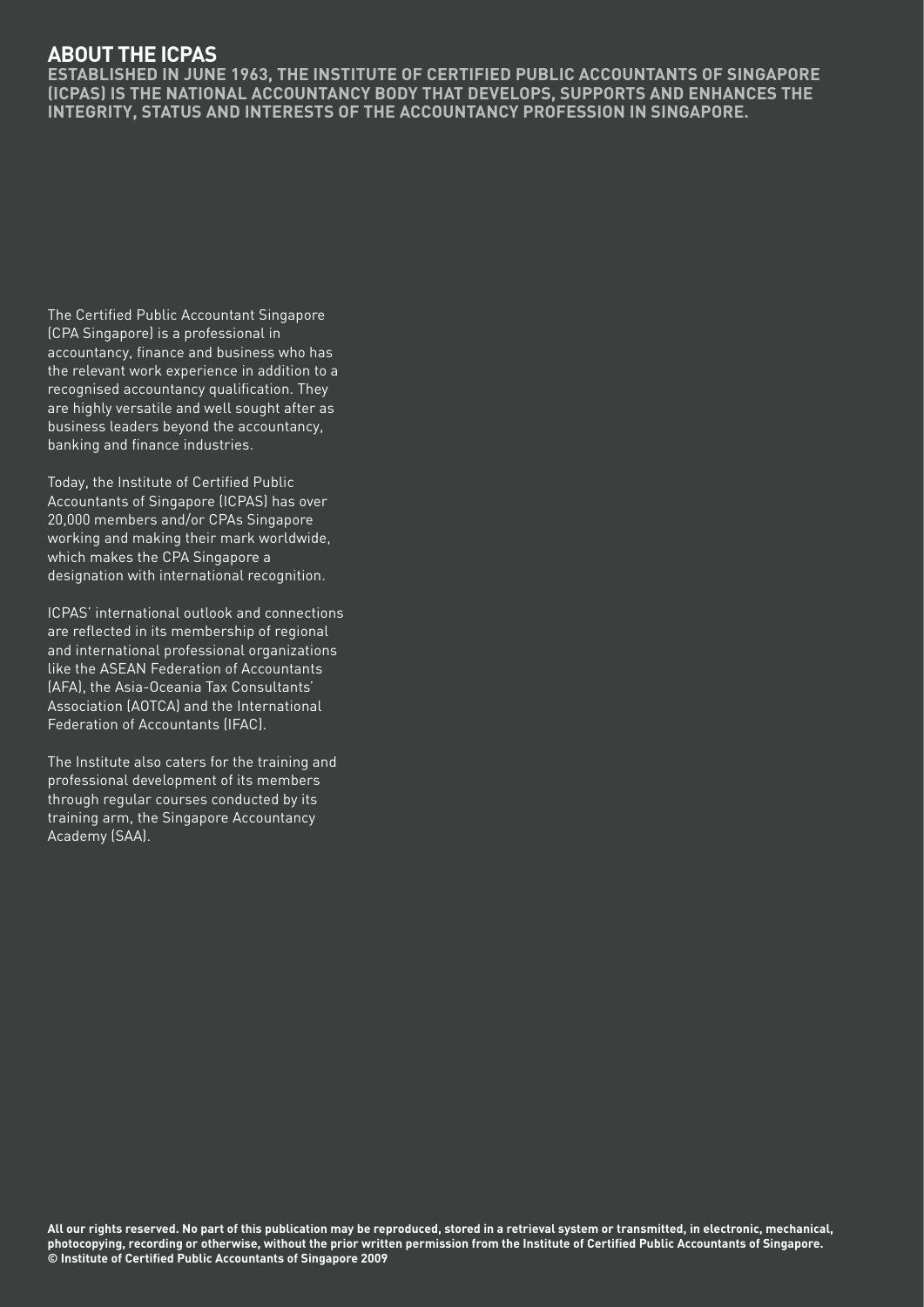## **About the ICPAS**

**Established in June 1963, the Institute of Certified Public Accountants of Singapore (ICPAS) is the national accountancy body that develops, supports and enhances the integrity, status and interests of the accountancy profession in Singapore.**

The Certified Public Accountant Singapore (CPA Singapore) is a professional in accountancy, finance and business who has the relevant work experience in addition to a recognised accountancy qualification. They are highly versatile and well sought after as business leaders beyond the accountancy, banking and finance industries.

Today, the Institute of Certified Public Accountants of Singapore (ICPAS) has over 20,000 members and/or CPAs Singapore working and making their mark worldwide, which makes the CPA Singapore a designation with international recognition.

ICPAS' international outlook and connections are reflected in its membership of regional and international professional organizations like the ASEAN Federation of Accountants (AFA), the Asia-Oceania Tax Consultants' Association (AOTCA) and the International Federation of Accountants (IFAC).

The Institute also caters for the training and professional development of its members through regular courses conducted by its training arm, the Singapore Accountancy Academy (SAA).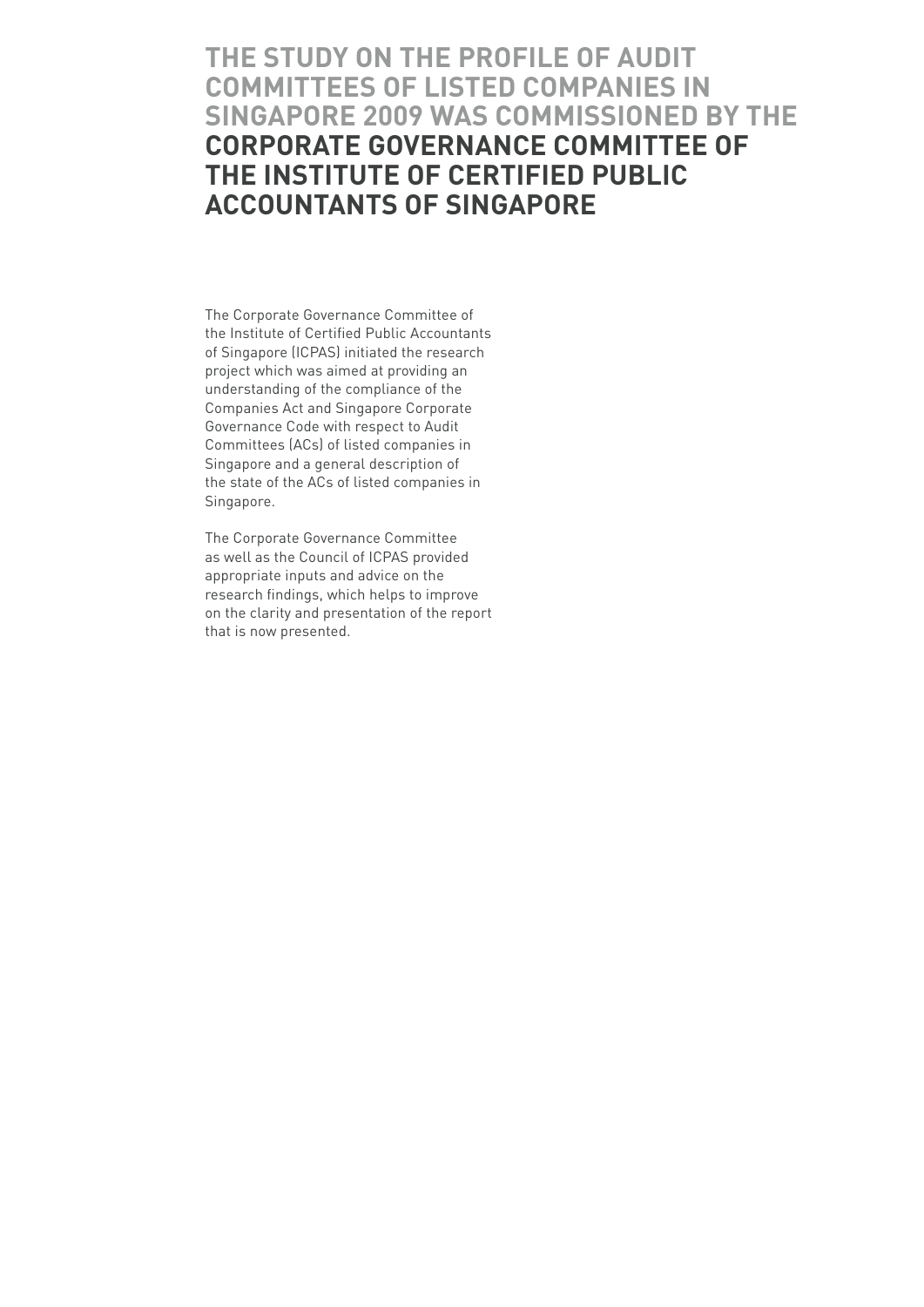# **The study on the Profile of Audit Committees of Listed Companies in Singapore 2009 was commissioned by the Corporate Governance Committee of the Institute of Certified Public Accountants of Singapore**

The Corporate Governance Committee of the Institute of Certified Public Accountants of Singapore (ICPAS) initiated the research project which was aimed at providing an understanding of the compliance of the Companies Act and Singapore Corporate Governance Code with respect to Audit Committees (ACs) of listed companies in Singapore and a general description of the state of the ACs of listed companies in Singapore.

The Corporate Governance Committee as well as the Council of ICPAS provided appropriate inputs and advice on the research findings, which helps to improve on the clarity and presentation of the report that is now presented.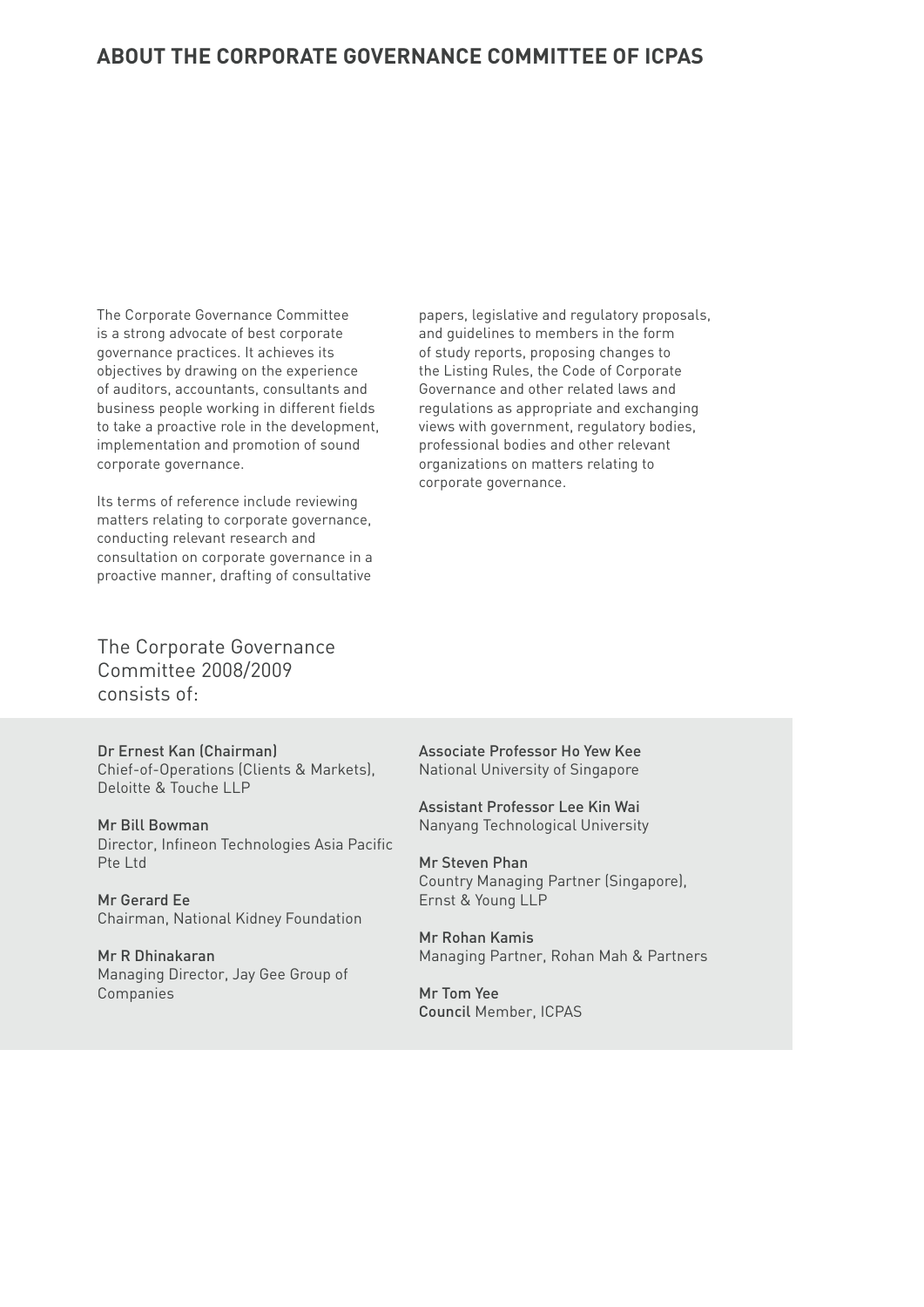### **About the Corporate Governance Committee of ICPAS**

The Corporate Governance Committee is a strong advocate of best corporate governance practices. It achieves its objectives by drawing on the experience of auditors, accountants, consultants and business people working in different fields to take a proactive role in the development, implementation and promotion of sound corporate governance.

Its terms of reference include reviewing matters relating to corporate governance, conducting relevant research and consultation on corporate governance in a proactive manner, drafting of consultative

papers, legislative and regulatory proposals, and guidelines to members in the form of study reports, proposing changes to the Listing Rules, the Code of Corporate Governance and other related laws and regulations as appropriate and exchanging views with government, regulatory bodies, professional bodies and other relevant organizations on matters relating to corporate governance.

The Corporate Governance Committee 2008/2009 consists of:

Dr Ernest Kan (Chairman) Chief-of-Operations (Clients & Markets), Deloitte & Touche LLP

Mr Bill Bowman Director, Infineon Technologies Asia Pacific Pte Ltd

Mr Gerard Ee Chairman, National Kidney Foundation

Mr R Dhinakaran Managing Director, Jay Gee Group of Companies

Associate Professor Ho Yew Kee National University of Singapore

Assistant Professor Lee Kin Wai Nanyang Technological University

Mr Steven Phan Country Managing Partner (Singapore), Ernst & Young LLP

Mr Rohan Kamis Managing Partner, Rohan Mah & Partners

Mr Tom Yee Council Member, ICPAS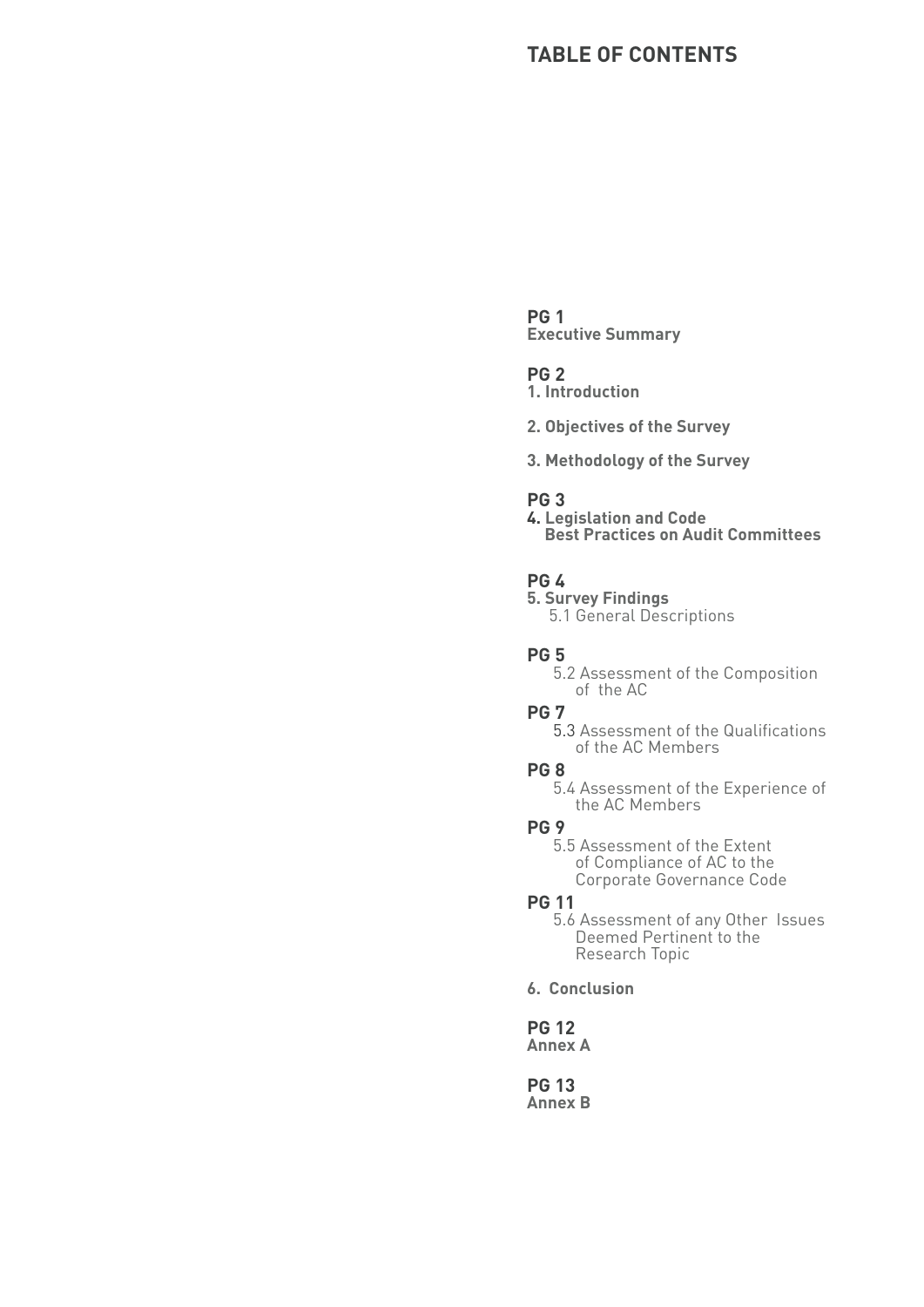## **Table of Contents**

#### **PG 1**

**Executive Summary**

#### **PG 2**

**1. Introduction**

- **2. Objectives of the Survey**
- **3. Methodology of the Survey**

#### **PG 3**

**4. Legislation and Code Best Practices on Audit Committees**

#### **PG 4**

**5. Survey Findings** 5.1 General Descriptions

**PG 5**

 5.2 Assessment of the Composition of the AC

#### **PG 7**

 5.3 Assessment of the Qualifications of the AC Members

#### **PG 8**

 5.4 Assessment of the Experience of the AC Members

#### **PG 9**

 5.5 Assessment of the Extent of Compliance of AC to the Corporate Governance Code

#### **PG 11**

 5.6 Assessment of any Other Issues Deemed Pertinent to the Research Topic

**6. Conclusion**

**PG 12 Annex A**

**PG 13 Annex B**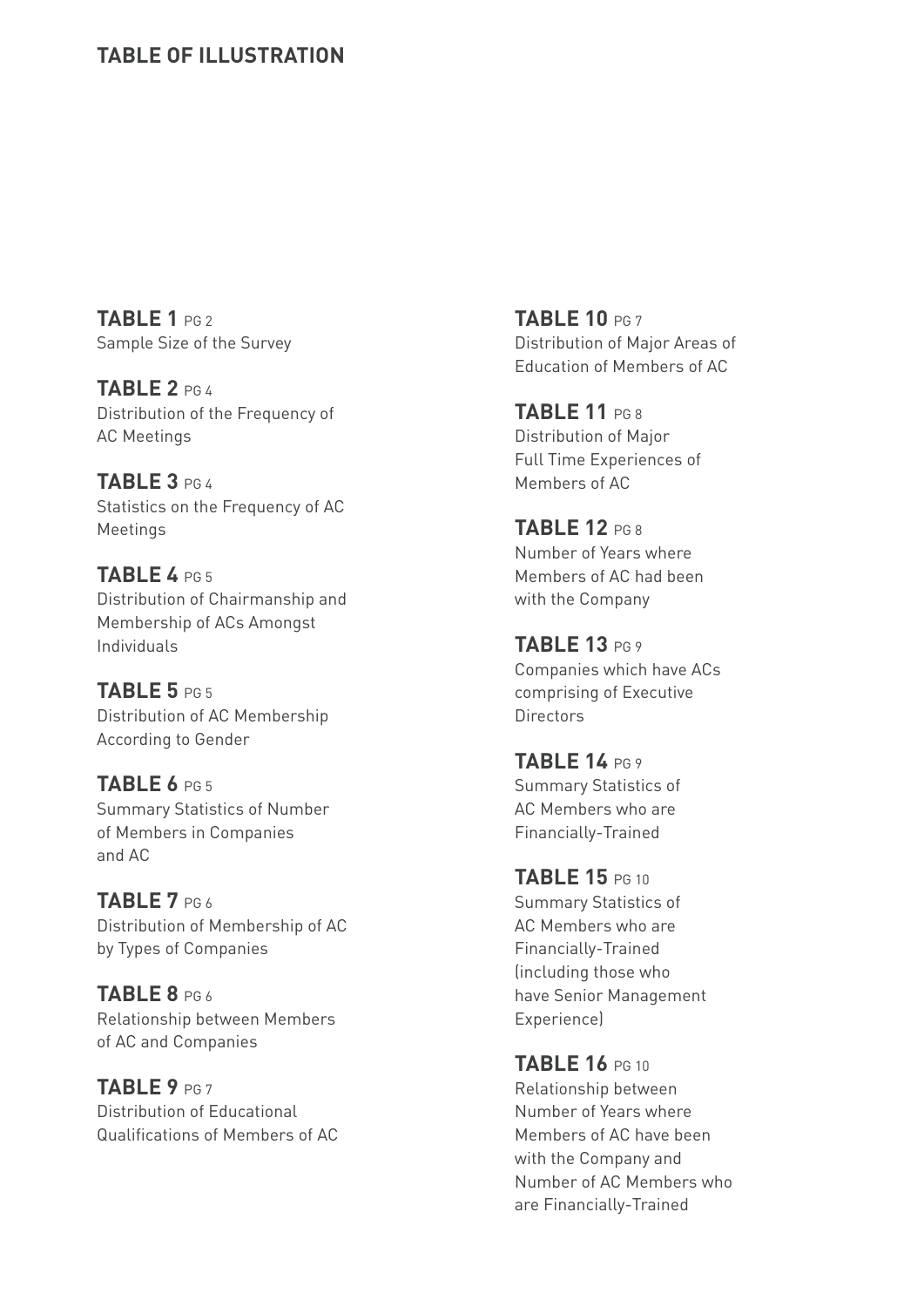## **Table of ILLUSTRATION**

**TABLE 1** PG 2 Sample Size of the Survey

**TABLE 2** PG 4 Distribution of the Frequency of AC Meetings

**TABLE 3** PG 4 Statistics on the Frequency of AC Meetings

**TABLE 4** PG 5 Distribution of Chairmanship and Membership of ACs Amongst Individuals

**TABLE 5** PG 5 Distribution of AC Membership According to Gender

**TABLE 6** PG 5 Summary Statistics of Number of Members in Companies and AC

**TABLE 7** PG 6 Distribution of Membership of AC by Types of Companies

**TABLE 8** PG 6 Relationship between Members of AC and Companies

**TABLE 9** PG 7 Distribution of Educational Qualifications of Members of AC **TABLE 10** PG 7 Distribution of Major Areas of Education of Members of AC

**TABLE 11** PG 8 Distribution of Major Full Time Experiences of Members of AC

**TABLE 12** PG 8 Number of Years where Members of AC had been with the Company

**TABLE 13** PG 9 Companies which have ACs comprising of Executive **Directors** 

**TABLE 14** PG 9 Summary Statistics of AC Members who are Financially-Trained

**TABLE 15** PG 10 Summary Statistics of AC Members who are Financially-Trained (including those who have Senior Management **Experiencel** 

**TABLE 16** PG 10 Relationship between Number of Years where Members of AC have been with the Company and Number of AC Members who are Financially-Trained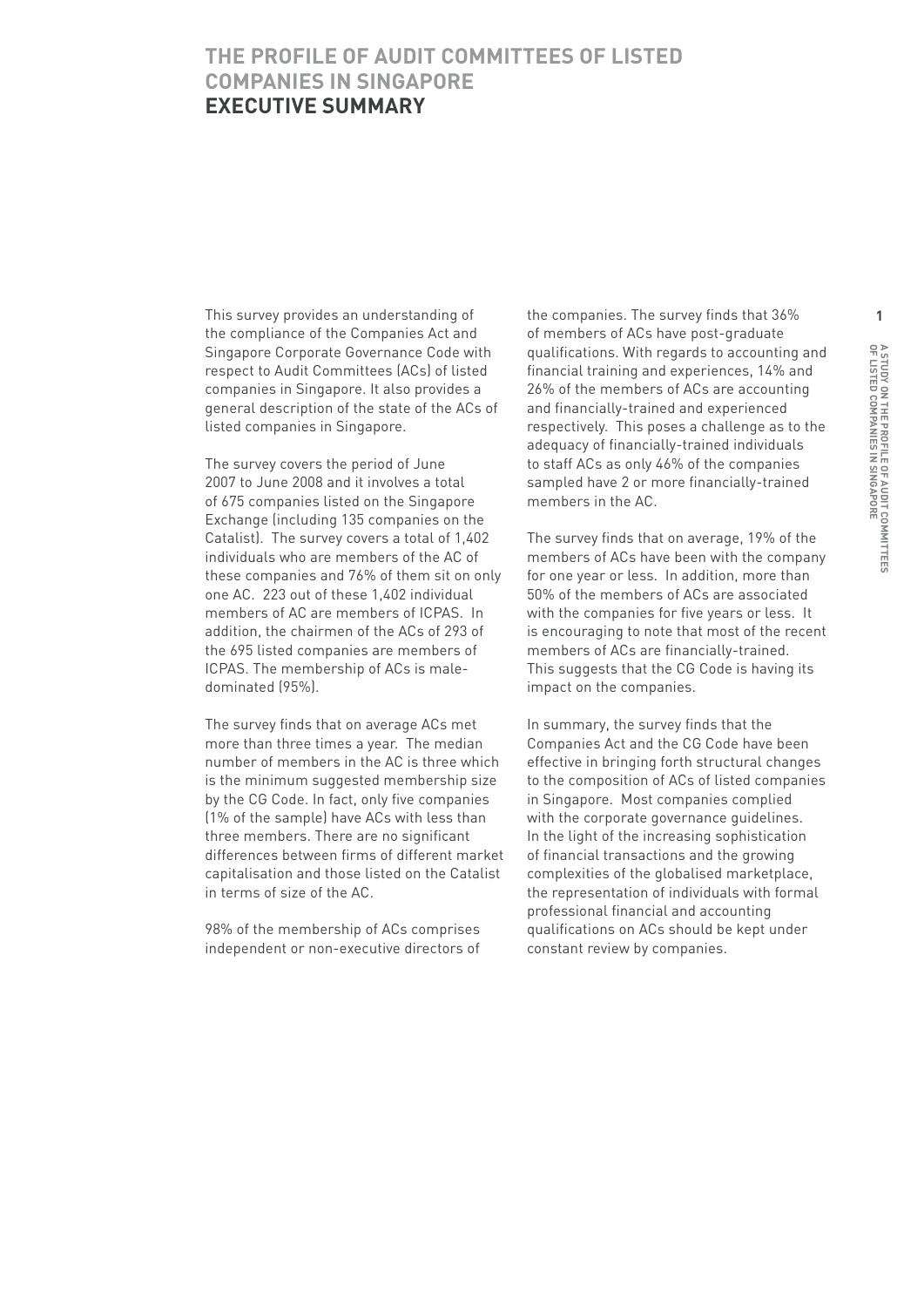## **The Profile of Audit Committees of Listed Companies in Singapore Executive Summary**

This survey provides an understanding of the compliance of the Companies Act and Singapore Corporate Governance Code with respect to Audit Committees (ACs) of listed companies in Singapore. It also provides a general description of the state of the ACs of listed companies in Singapore.

The survey covers the period of June 2007 to June 2008 and it involves a total of 675 companies listed on the Singapore Exchange (including 135 companies on the Catalist). The survey covers a total of 1,402 individuals who are members of the AC of these companies and 76% of them sit on only one AC. 223 out of these 1,402 individual members of AC are members of ICPAS. In addition, the chairmen of the ACs of 293 of the 695 listed companies are members of ICPAS. The membership of ACs is maledominated (95%).

The survey finds that on average ACs met more than three times a year. The median number of members in the AC is three which is the minimum suggested membership size by the CG Code. In fact, only five companies (1% of the sample) have ACs with less than three members. There are no significant differences between firms of different market capitalisation and those listed on the Catalist in terms of size of the AC.

98% of the membership of ACs comprises independent or non-executive directors of the companies. The survey finds that 36% of members of ACs have post-graduate qualifications. With regards to accounting and financial training and experiences, 14% and 26% of the members of ACs are accounting and financially-trained and experienced respectively. This poses a challenge as to the adequacy of financially-trained individuals to staff ACs as only 46% of the companies sampled have 2 or more financially-trained members in the AC.

The survey finds that on average, 19% of the members of ACs have been with the company for one year or less. In addition, more than 50% of the members of ACs are associated with the companies for five years or less. It is encouraging to note that most of the recent members of ACs are financially-trained. This suggests that the CG Code is having its impact on the companies.

In summary, the survey finds that the Companies Act and the CG Code have been effective in bringing forth structural changes to the composition of ACs of listed companies in Singapore. Most companies complied with the corporate governance guidelines. In the light of the increasing sophistication of financial transactions and the growing complexities of the globalised marketplace, the representation of individuals with formal professional financial and accounting qualifications on ACs should be kept under constant review by companies.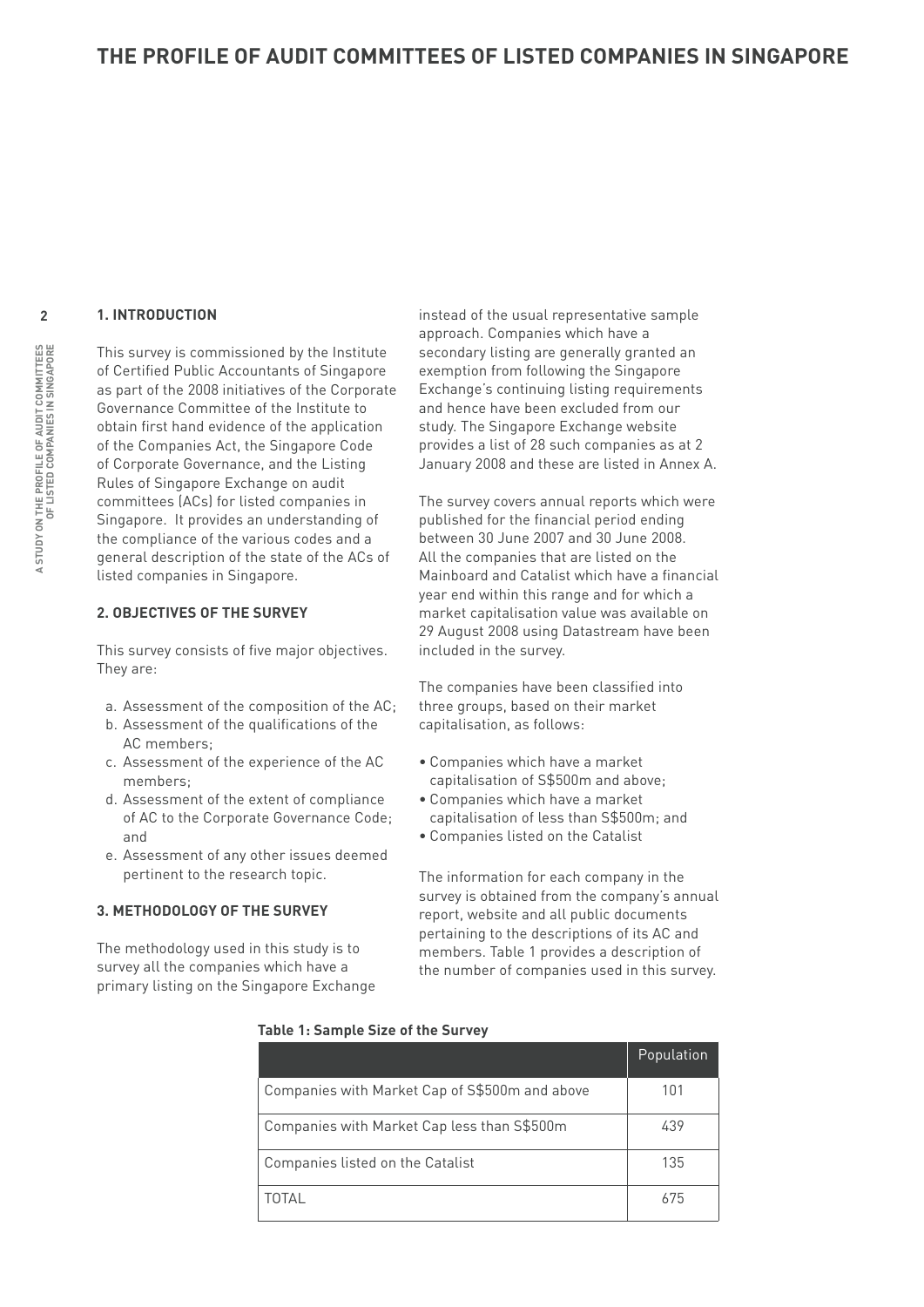#### **1. Introduction**

This survey is commissioned by the Institute of Certified Public Accountants of Singapore as part of the 2008 initiatives of the Corporate Governance Committee of the Institute to obtain first hand evidence of the application of the Companies Act, the Singapore Code of Corporate Governance, and the Listing Rules of Singapore Exchange on audit committees (ACs) for listed companies in Singapore. It provides an understanding of the compliance of the various codes and a general description of the state of the ACs of listed companies in Singapore.

#### **2. Objectives of the Survey**

This survey consists of five major objectives. They are:

- a. Assessment of the composition of the AC;
- b. Assessment of the qualifications of the AC members;
- c. Assessment of the experience of the AC members;
- d. Assessment of the extent of compliance of AC to the Corporate Governance Code; and
- e. Assessment of any other issues deemed pertinent to the research topic.

#### **3. Methodology of the Survey**

The methodology used in this study is to survey all the companies which have a primary listing on the Singapore Exchange instead of the usual representative sample approach. Companies which have a secondary listing are generally granted an exemption from following the Singapore Exchange's continuing listing requirements and hence have been excluded from our study. The Singapore Exchange website provides a list of 28 such companies as at 2 January 2008 and these are listed in Annex A.

The survey covers annual reports which were published for the financial period ending between 30 June 2007 and 30 June 2008. All the companies that are listed on the Mainboard and Catalist which have a financial year end within this range and for which a market capitalisation value was available on 29 August 2008 using Datastream have been included in the survey.

The companies have been classified into three groups, based on their market capitalisation, as follows:

- Companies which have a market capitalisation of S\$500m and above;
- Companies which have a market capitalisation of less than S\$500m; and
- Companies listed on the Catalist

The information for each company in the survey is obtained from the company's annual report, website and all public documents pertaining to the descriptions of its AC and members. Table 1 provides a description of the number of companies used in this survey.

|                                                | Population |
|------------------------------------------------|------------|
| Companies with Market Cap of S\$500m and above | 101        |
| Companies with Market Cap less than S\$500m    | 439        |
| Companies listed on the Catalist               | 135        |
| ΤΩΤΑΙ                                          | 675        |

#### **Table 1: Sample Size of the Survey**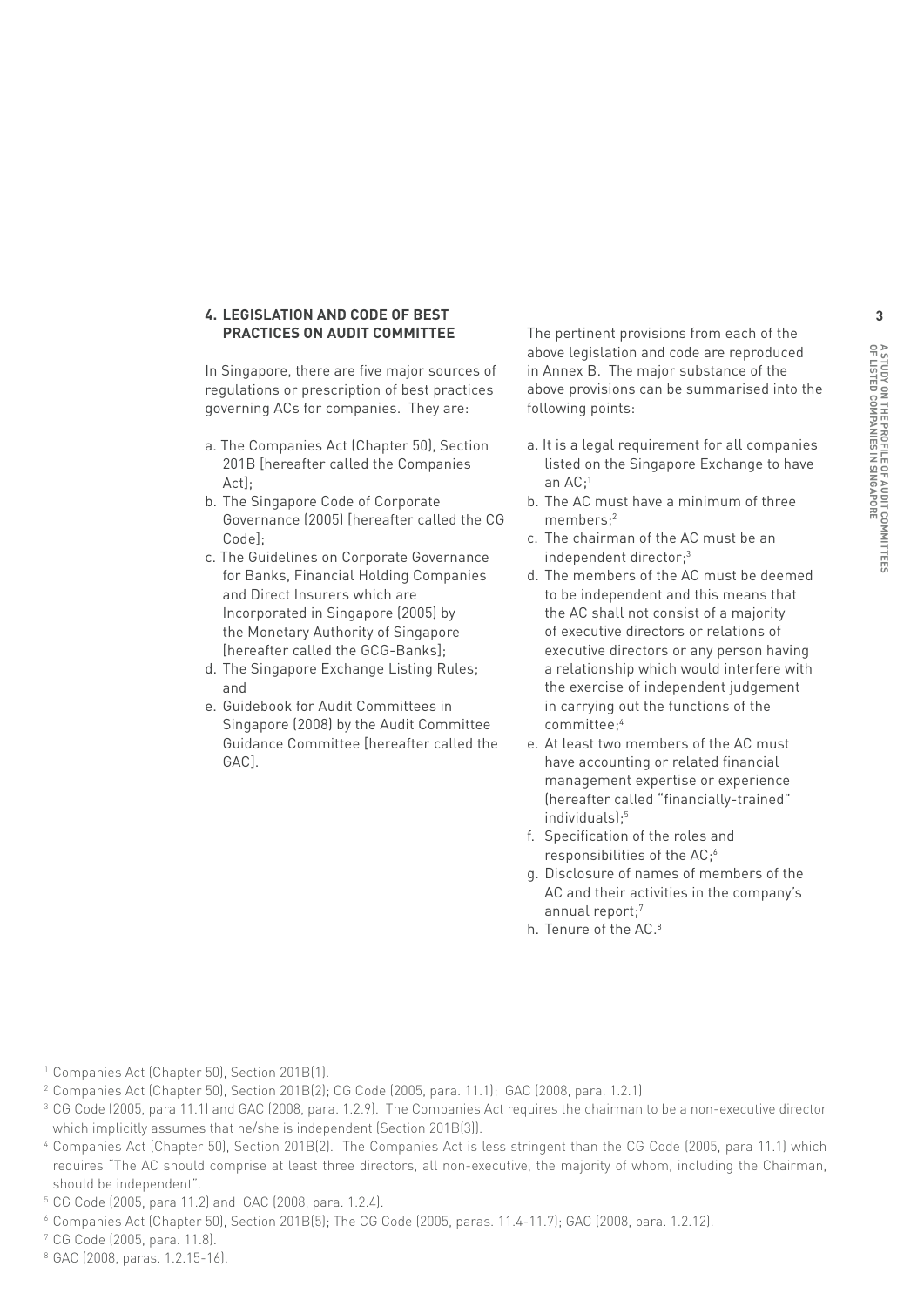#### **4. Legislation and Code of Best Practices on Audit Committee**

In Singapore, there are five major sources of regulations or prescription of best practices governing ACs for companies. They are:

- a. The Companies Act (Chapter 50), Section 201B [hereafter called the Companies Act];
- b. The Singapore Code of Corporate Governance (2005) [hereafter called the CG Code<sup>]</sup>;
- c. The Guidelines on Corporate Governance for Banks, Financial Holding Companies and Direct Insurers which are Incorporated in Singapore (2005) by the Monetary Authority of Singapore [hereafter called the GCG-Banks];
- d. The Singapore Exchange Listing Rules; and
- e. Guidebook for Audit Committees in Singapore (2008) by the Audit Committee Guidance Committee [hereafter called the GAC].

The pertinent provisions from each of the above legislation and code are reproduced in Annex B. The major substance of the above provisions can be summarised into the following points:

- a. It is a legal requirement for all companies listed on the Singapore Exchange to have an AC;<sup>1</sup>
- b. The AC must have a minimum of three members;2
- c. The chairman of the AC must be an independent director;3
- d. The members of the AC must be deemed to be independent and this means that the AC shall not consist of a majority of executive directors or relations of executive directors or any person having a relationship which would interfere with the exercise of independent judgement in carrying out the functions of the committee;4
- e. At least two members of the AC must have accounting or related financial management expertise or experience (hereafter called "financially-trained" individuals);<sup>5</sup>
- f. Specification of the roles and responsibilities of the AC;6
- g. Disclosure of names of members of the AC and their activities in the company's annual report;7
- h. Tenure of the AC.<sup>8</sup>

- <sup>1</sup> Companies Act (Chapter 50), Section 201B(1).
- <sup>2</sup> Companies Act (Chapter 50), Section 201B(2); CG Code (2005, para. 11.1); GAC (2008, para. 1.2.1)
- <sup>3</sup> CG Code (2005, para 11.1) and GAC (2008, para. 1.2.9). The Companies Act requires the chairman to be a non-executive director which implicitly assumes that he/she is independent (Section 201B(3)).
- <sup>4</sup> Companies Act (Chapter 50), Section 201B(2). The Companies Act is less stringent than the CG Code (2005, para 11.1) which requires "The AC should comprise at least three directors, all non-executive, the majority of whom, including the Chairman, should be independent".
- <sup>5</sup> CG Code (2005, para 11.2) and GAC (2008, para. 1.2.4).
- <sup>6</sup> Companies Act (Chapter 50), Section 201B(5); The CG Code (2005, paras. 11.4-11.7); GAC (2008, para. 1.2.12).
- <sup>7</sup> CG Code (2005, para. 11.8).
- <sup>8</sup> GAC (2008, paras. 1.2.15-16).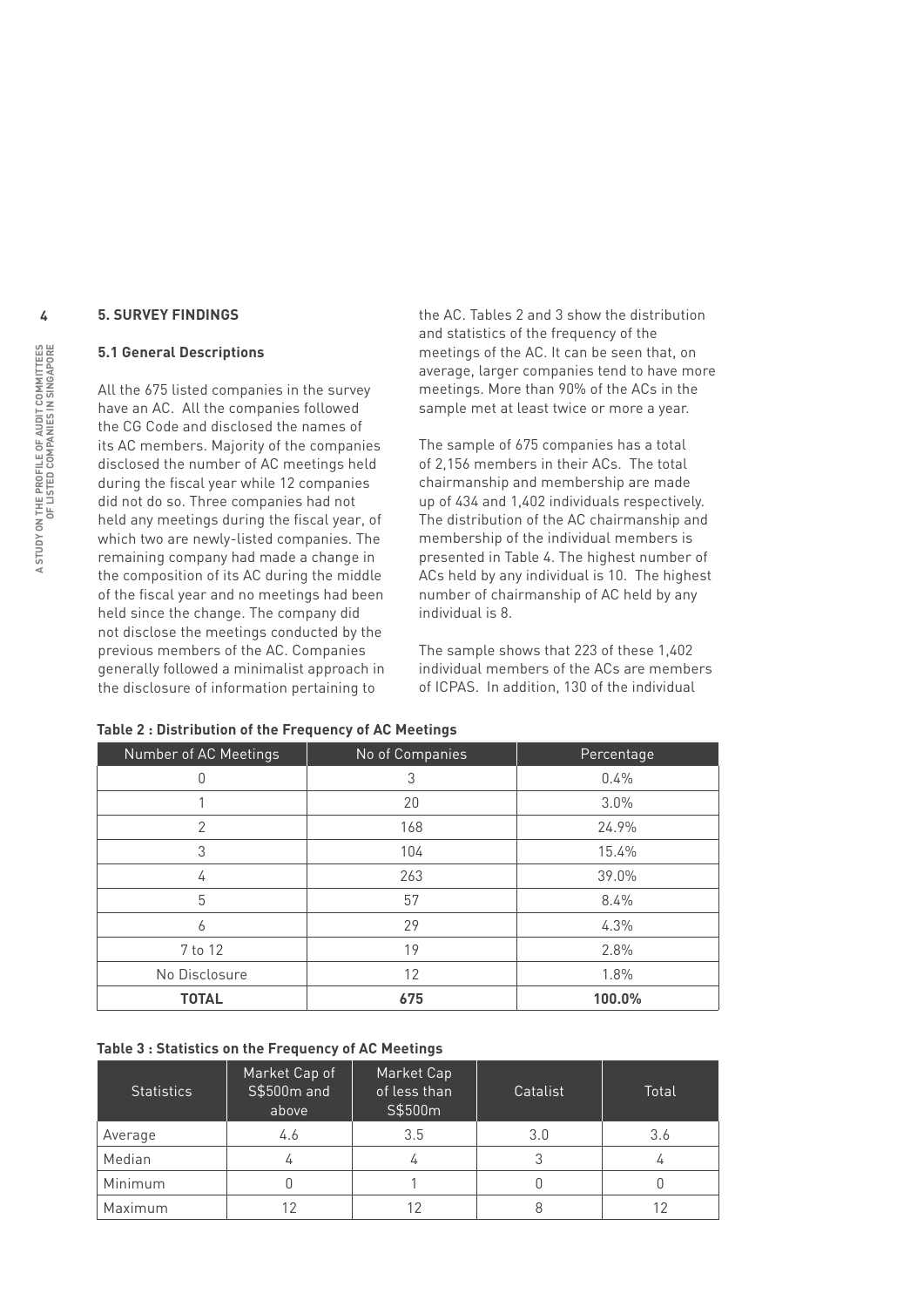#### **5. Survey Findings**

#### **5.1 General Descriptions**

All the 675 listed companies in the survey have an AC. All the companies followed the CG Code and disclosed the names of its AC members. Majority of the companies disclosed the number of AC meetings held during the fiscal year while 12 companies did not do so. Three companies had not held any meetings during the fiscal year, of which two are newly-listed companies. The remaining company had made a change in the composition of its AC during the middle of the fiscal year and no meetings had been held since the change. The company did not disclose the meetings conducted by the previous members of the AC. Companies generally followed a minimalist approach in the disclosure of information pertaining to

the AC. Tables 2 and 3 show the distribution and statistics of the frequency of the meetings of the AC. It can be seen that, on average, larger companies tend to have more meetings. More than 90% of the ACs in the sample met at least twice or more a year.

The sample of 675 companies has a total of 2,156 members in their ACs. The total chairmanship and membership are made up of 434 and 1,402 individuals respectively. The distribution of the AC chairmanship and membership of the individual members is presented in Table 4. The highest number of ACs held by any individual is 10. The highest number of chairmanship of AC held by any individual is 8.

The sample shows that 223 of these 1,402 individual members of the ACs are members of ICPAS. In addition, 130 of the individual

| Number of AC Meetings | No of Companies | Percentage |
|-----------------------|-----------------|------------|
| 0                     | 3               | 0.4%       |
|                       | 20              | 3.0%       |
| 2                     | 168             | 24.9%      |
| 3                     | 104             | 15.4%      |
| 4                     | 263             | 39.0%      |
| 5                     | 57              | 8.4%       |
| 6                     | 29              | 4.3%       |
| 7 to 12               | 19              | 2.8%       |
| No Disclosure         | 12              | 1.8%       |
| <b>TOTAL</b>          | 675             | 100.0%     |

#### **Table 2 : Distribution of the Frequency of AC Meetings**

#### **Table 3 : Statistics on the Frequency of AC Meetings**

| <b>Statistics</b> | Market Cap of<br>S\$500m and<br>above | Market Cap<br>of less than<br>S\$500m | Catalist | Total |
|-------------------|---------------------------------------|---------------------------------------|----------|-------|
| Average           | 4.6                                   | 3.5                                   | 3.0      | 3.6   |
| Median            |                                       | 4                                     |          |       |
| Minimum           |                                       |                                       |          |       |
| Maximum           |                                       |                                       |          |       |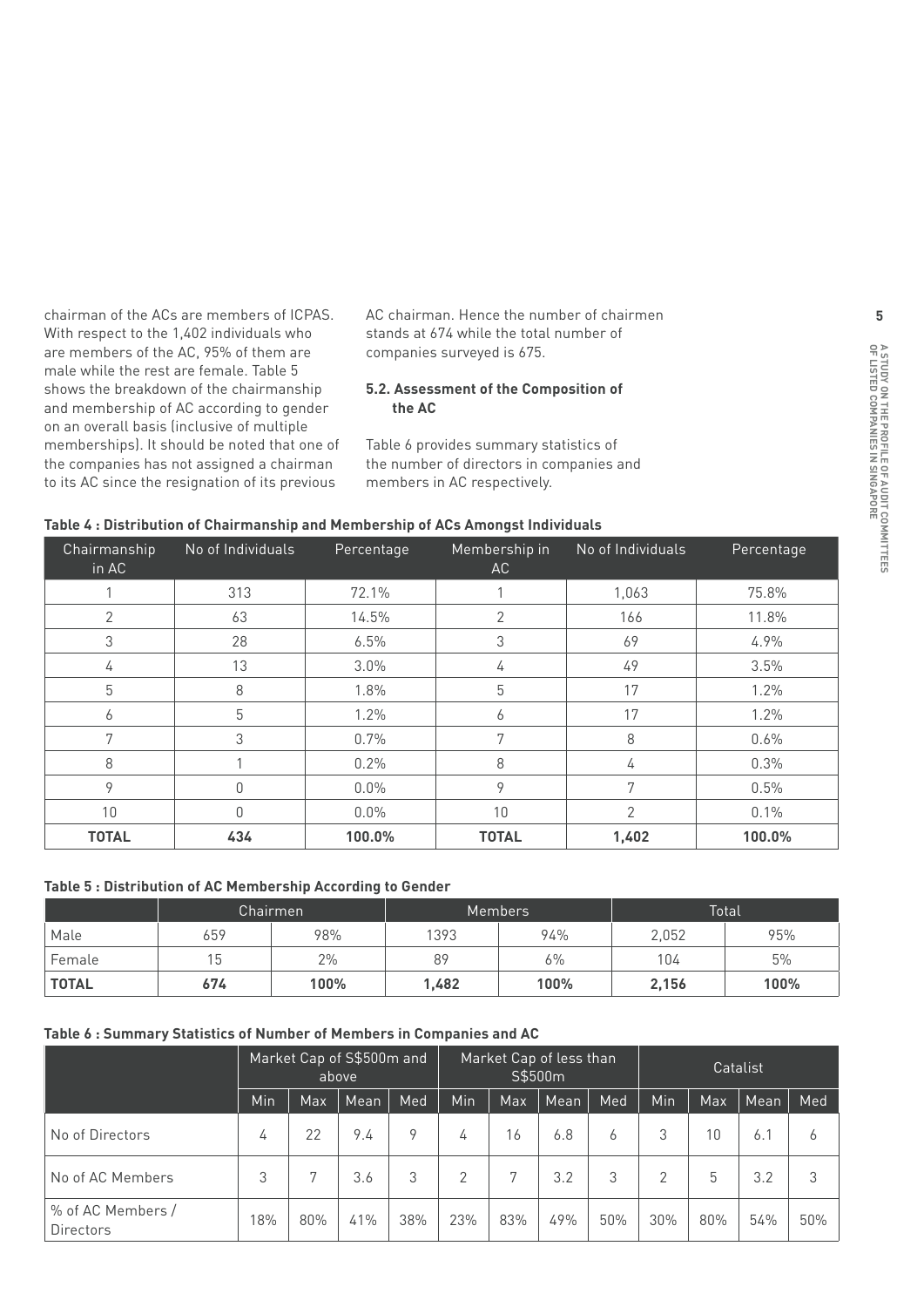chairman of the ACs are members of ICPAS. With respect to the 1,402 individuals who are members of the AC, 95% of them are male while the rest are female. Table 5 shows the breakdown of the chairmanship and membership of AC according to gender on an overall basis (inclusive of multiple memberships). It should be noted that one of the companies has not assigned a chairman to its AC since the resignation of its previous

AC chairman. Hence the number of chairmen stands at 674 while the total number of companies surveyed is 675.

#### **5.2. Assessment of the Composition of the AC**

Table 6 provides summary statistics of the number of directors in companies and members in AC respectively.

| Chairmanship<br>in AC | No of Individuals | Percentage | Membership in<br>AC | No of Individuals | Percentage |
|-----------------------|-------------------|------------|---------------------|-------------------|------------|
|                       | 313               | 72.1%      |                     | 1,063             | 75.8%      |
| 2                     | 63                | 14.5%      | 2                   | 166               | 11.8%      |
| 3                     | 28                | 6.5%       | 3                   | 69                | 4.9%       |
| 4                     | 13                | 3.0%       | 4                   | 49                | 3.5%       |
| 5                     | 8                 | 1.8%       | 5                   | 17                | $1.2\%$    |
| 6                     | 5                 | 1.2%       | 6                   | 17                | 1.2%       |
| 7                     | 3                 | 0.7%       | 7                   | 8                 | 0.6%       |
| 8                     |                   | 0.2%       | 8                   | 4                 | 0.3%       |
| 9                     | 0                 | 0.0%       | 9                   | 7                 | 0.5%       |
| 10                    | $\mathbf{0}$      | $0.0\%$    | 10                  | $\overline{2}$    | 0.1%       |
| <b>TOTAL</b>          | 434               | 100.0%     | <b>TOTAL</b>        | 1,402             | 100.0%     |

#### **Table 4 : Distribution of Chairmanship and Membership of ACs Amongst Individuals**

#### **Table 5 : Distribution of AC Membership According to Gender**

|        |     | Chairmen |       | <b>Members</b> |       | <b>Total</b> |
|--------|-----|----------|-------|----------------|-------|--------------|
| Male   | 659 | 98%      | 1393  | 94%            | 2,052 | 95%          |
| Female | 15  | 2%       | 89    | $6\%$          | 104   | 5%           |
| TOTAL  | 674 | 100%     | 1,482 | 100%           | 2,156 | 100%         |

#### **Table 6 : Summary Statistics of Number of Members in Companies and AC**

|                                       |     |     | Market Cap of S\$500m and<br>above |     | Market Cap of less than<br>S\$500m |     | Catalist |     |     |     |      |     |
|---------------------------------------|-----|-----|------------------------------------|-----|------------------------------------|-----|----------|-----|-----|-----|------|-----|
|                                       | Min | Max | Mean                               | Med | Min                                | Max | Mean     | Med | Min | Max | Mean | Med |
| No of Directors                       | 4   | 22  | 9.4                                | 9   | 4                                  | 16  | 6.8      | 6   | 3   | 10  | 6.1  | b   |
| No of AC Members                      | 3   | 7   | 3.6                                | 3   | $\overline{2}$                     | 7   | 3.2      | 3   | 2   | 5   | 3.2  | 3   |
| % of AC Members /<br><b>Directors</b> | 18% | 80% | 41%                                | 38% | 23%                                | 83% | 49%      | 50% | 30% | 80% | 54%  | 50% |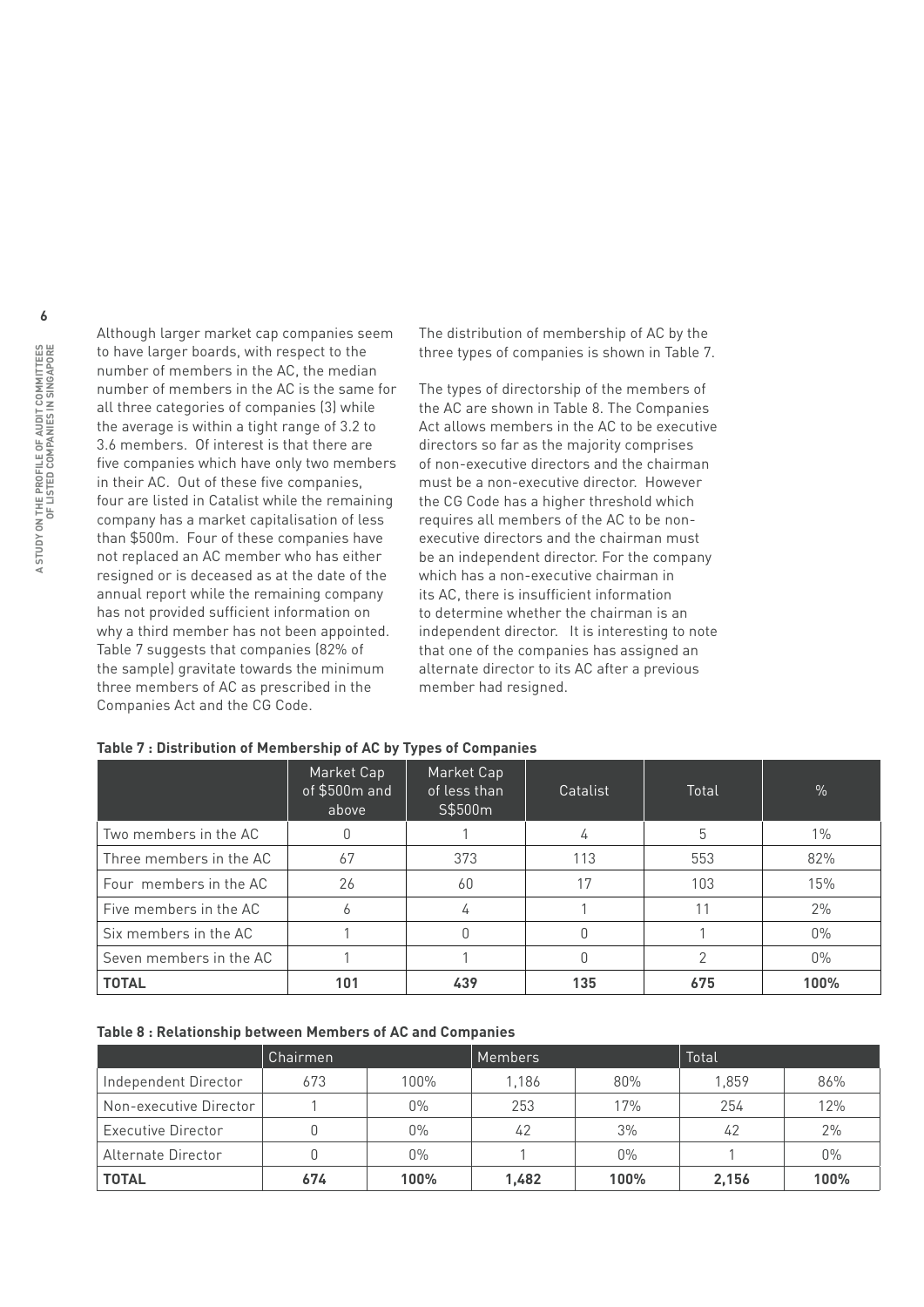Although larger market cap companies seem to have larger boards, with respect to the number of members in the AC, the median number of members in the AC is the same for all three categories of companies (3) while the average is within a tight range of 3.2 to 3.6 members. Of interest is that there are five companies which have only two members in their AC. Out of these five companies, four are listed in Catalist while the remaining company has a market capitalisation of less than \$500m. Four of these companies have not replaced an AC member who has either resigned or is deceased as at the date of the annual report while the remaining company has not provided sufficient information on why a third member has not been appointed. Table 7 suggests that companies (82% of the sample) gravitate towards the minimum three members of AC as prescribed in the Companies Act and the CG Code.

The distribution of membership of AC by the three types of companies is shown in Table 7.

The types of directorship of the members of the AC are shown in Table 8. The Companies Act allows members in the AC to be executive directors so far as the majority comprises of non-executive directors and the chairman must be a non-executive director. However the CG Code has a higher threshold which requires all members of the AC to be nonexecutive directors and the chairman must be an independent director. For the company which has a non-executive chairman in its AC, there is insufficient information to determine whether the chairman is an independent director. It is interesting to note that one of the companies has assigned an alternate director to its AC after a previous member had resigned.

|                         | Market Cap<br>of \$500m and<br>above | Market Cap<br>of less than<br>S\$500m | Catalist | Total | %     |
|-------------------------|--------------------------------------|---------------------------------------|----------|-------|-------|
| Two members in the AC   |                                      |                                       | 4        | 5     | $1\%$ |
| Three members in the AC | 67                                   | 373                                   | 113      | 553   | 82%   |
| Four members in the AC  | 26                                   | 60                                    | 17       | 103   | 15%   |
| Five members in the AC  |                                      | 4                                     |          | 11    | 2%    |
| Six members in the AC   |                                      |                                       |          |       | $0\%$ |
| Seven members in the AC |                                      |                                       |          |       | $0\%$ |
| <b>TOTAL</b>            | 101                                  | 439                                   | 135      | 675   | 100%  |

#### **Table 7 : Distribution of Membership of AC by Types of Companies**

#### **Table 8 : Relationship between Members of AC and Companies**

|                        | Chairmen |       | <b>Members</b> |       | Total |       |
|------------------------|----------|-------|----------------|-------|-------|-------|
| Independent Director   | 673      | 100%  | 1.186          | 80%   | 1.859 | 86%   |
| Non-executive Director |          | $0\%$ | 253            | 17%   | 254   | 12%   |
| Executive Director     |          | $0\%$ | 42             | 3%    | 42    | 2%    |
| Alternate Director     |          | $0\%$ |                | $0\%$ |       | $0\%$ |
| <b>TOTAL</b>           | 674      | 100%  | 1.482          | 100%  | 2.156 | 100%  |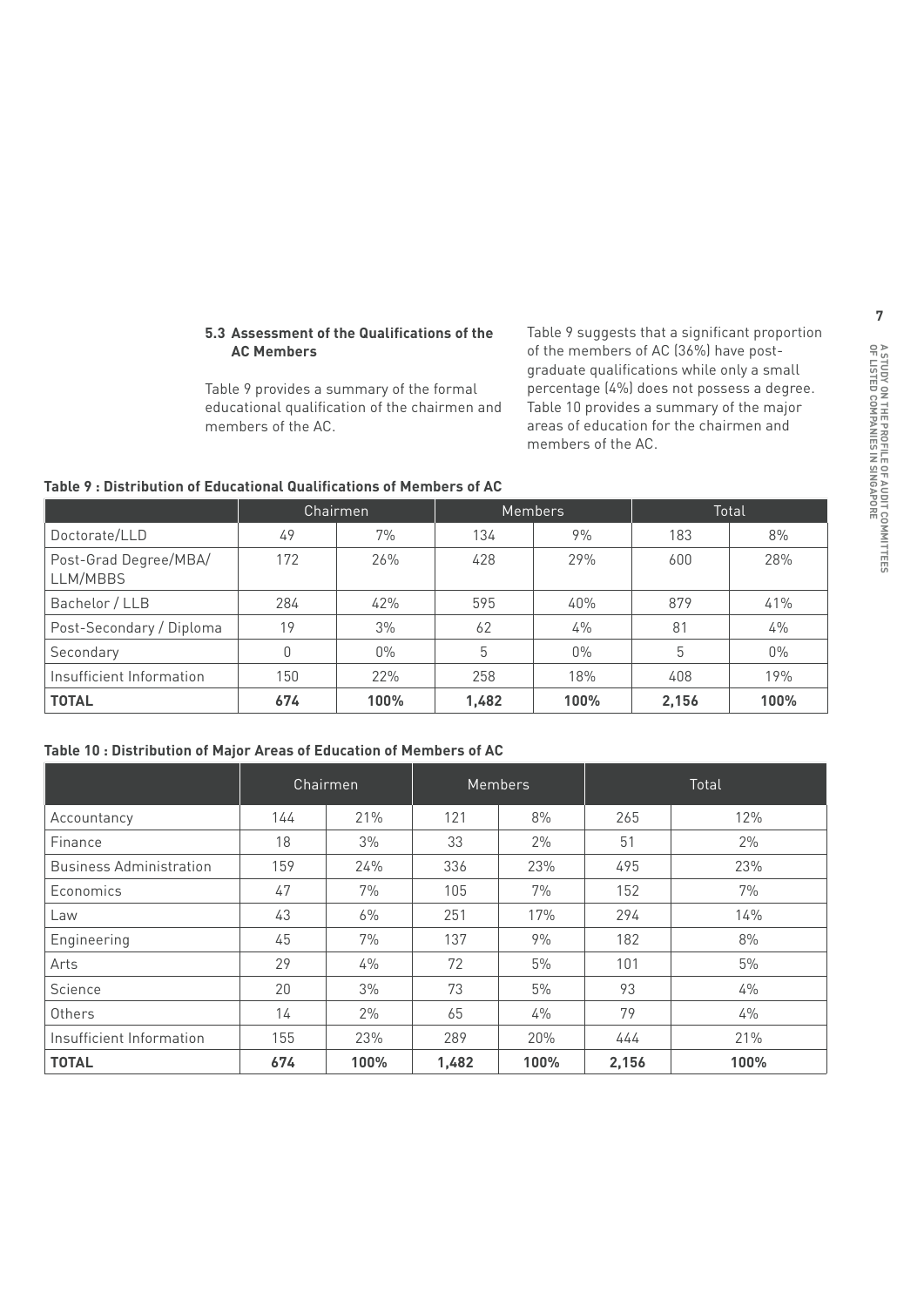#### **5.3 Assessment of the Qualifications of the AC Members**

Table 9 provides a summary of the formal educational qualification of the chairmen and members of the AC.

Table 9 suggests that a significant proportion of the members of AC (36%) have postgraduate qualifications while only a small percentage (4%) does not possess a degree. Table 10 provides a summary of the major areas of education for the chairmen and members of the AC.

|                                   |     | Chairmen |       | <b>Members</b> |       | Total |
|-----------------------------------|-----|----------|-------|----------------|-------|-------|
| Doctorate/LLD                     | 49  | 7%       | 134   | 9%             | 183   | 8%    |
| Post-Grad Degree/MBA/<br>LLM/MBBS | 172 | 26%      | 428   | 29%            | 600   | 28%   |
| Bachelor / LLB                    | 284 | 42%      | 595   | 40%            | 879   | 41%   |
| Post-Secondary / Diploma          | 19  | 3%       | 62    | 4%             | 81    | $4\%$ |
| Secondary                         |     | $0\%$    | 5     | $0\%$          | 5     | $0\%$ |
| Insufficient Information          | 150 | 22%      | 258   | 18%            | 408   | 19%   |
| <b>TOTAL</b>                      | 674 | 100%     | 1,482 | 100%           | 2,156 | 100%  |

#### **Table 9 : Distribution of Educational Qualifications of Members of AC**

#### **Table 10 : Distribution of Major Areas of Education of Members of AC**

|                                | Chairmen |       | <b>Members</b> |       | Total |      |
|--------------------------------|----------|-------|----------------|-------|-------|------|
| Accountancy                    | 144      | 21%   | 121            | 8%    | 265   | 12%  |
| Finance                        | 18       | 3%    | 33             | 2%    | 51    | 2%   |
| <b>Business Administration</b> | 159      | 24%   | 336            | 23%   | 495   | 23%  |
| Economics                      | 47       | 7%    | 105            | 7%    | 152   | 7%   |
| Law                            | 43       | $6\%$ | 251            | 17%   | 294   | 14%  |
| Engineering                    | 45       | 7%    | 137            | 9%    | 182   | 8%   |
| Arts                           | 29       | $4\%$ | 72             | 5%    | 101   | 5%   |
| Science                        | 20       | 3%    | 73             | 5%    | 93    | 4%   |
| Others                         | 14       | 2%    | 65             | $4\%$ | 79    | 4%   |
| Insufficient Information       | 155      | 23%   | 289            | 20%   | 444   | 21%  |
| <b>TOTAL</b>                   | 674      | 100%  | 1,482          | 100%  | 2,156 | 100% |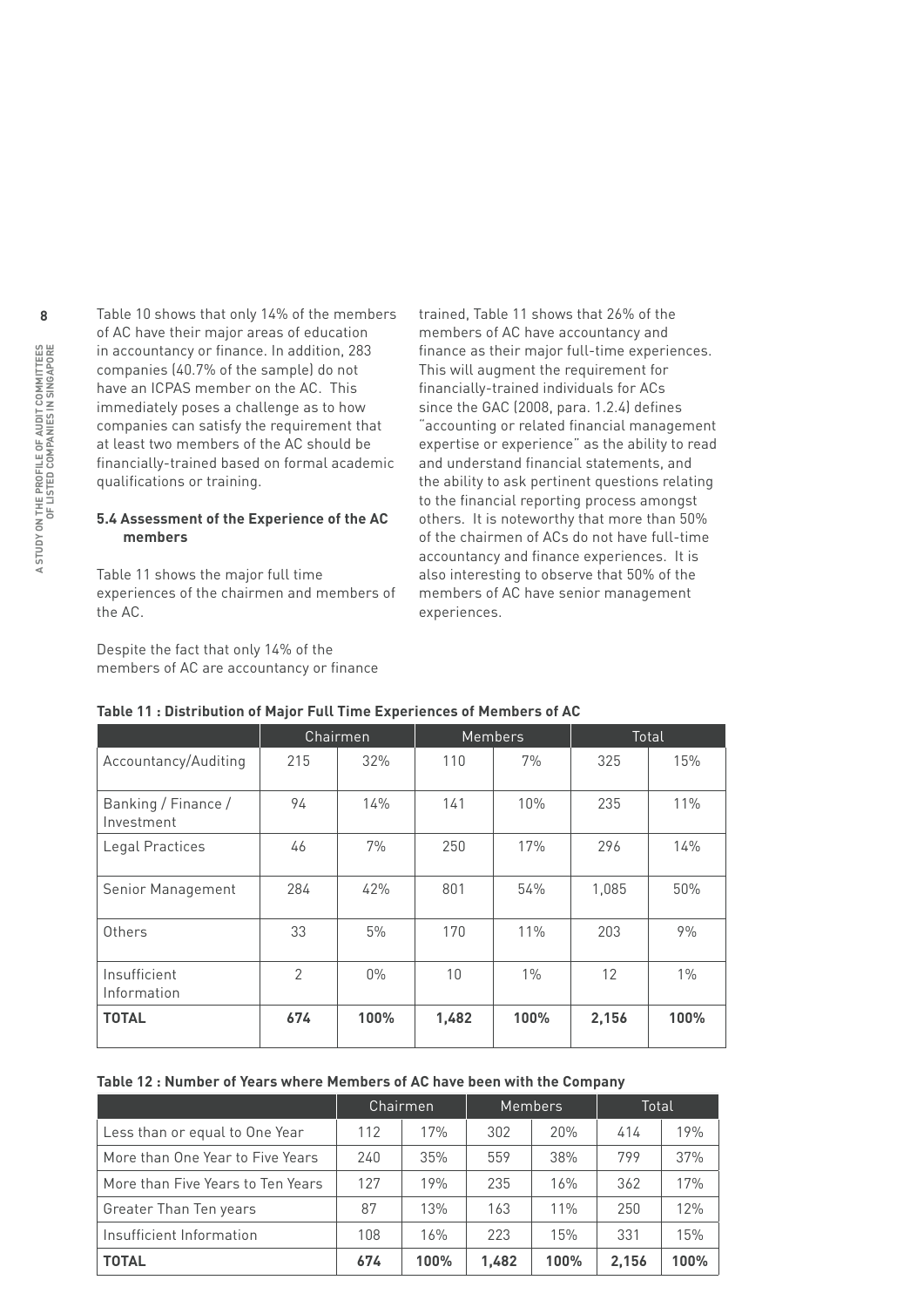Table 10 shows that only 14% of the members of AC have their major areas of education in accountancy or finance. In addition, 283 companies (40.7% of the sample) do not have an ICPAS member on the AC. This immediately poses a challenge as to how companies can satisfy the requirement that at least two members of the AC should be financially-trained based on formal academic qualifications or training.

#### **5.4 Assessment of the Experience of the AC members**

Table 11 shows the major full time experiences of the chairmen and members of the AC.

Despite the fact that only 14% of the members of AC are accountancy or finance trained, Table 11 shows that 26% of the members of AC have accountancy and finance as their major full-time experiences. This will augment the requirement for financially-trained individuals for ACs since the GAC (2008, para. 1.2.4) defines "accounting or related financial management expertise or experience" as the ability to read and understand financial statements, and the ability to ask pertinent questions relating to the financial reporting process amongst others. It is noteworthy that more than 50% of the chairmen of ACs do not have full-time accountancy and finance experiences. It is also interesting to observe that 50% of the members of AC have senior management experiences.

|                                   | <u>1980 - Francisco Marion di Piejoi Territimo Exportances di Piembers di Ad</u> |          |       |                |       |       |  |  |  |
|-----------------------------------|----------------------------------------------------------------------------------|----------|-------|----------------|-------|-------|--|--|--|
|                                   |                                                                                  | Chairmen |       | <b>Members</b> |       | Total |  |  |  |
| Accountancy/Auditing              | 215                                                                              | 32%      | 110   | 7%             | 325   | 15%   |  |  |  |
| Banking / Finance /<br>Investment | 94                                                                               | 14%      | 141   | 10%            | 235   | 11%   |  |  |  |
| Legal Practices                   | 46                                                                               | 7%       | 250   | 17%            | 296   | 14%   |  |  |  |
| Senior Management                 | 284                                                                              | 42%      | 801   | 54%            | 1,085 | 50%   |  |  |  |
| Others                            | 33                                                                               | 5%       | 170   | 11%            | 203   | 9%    |  |  |  |
| Insufficient<br>Information       | $\overline{2}$                                                                   | $0\%$    | 10    | $1\%$          | 12    | $1\%$ |  |  |  |
| <b>TOTAL</b>                      | 674                                                                              | 100%     | 1,482 | 100%           | 2,156 | 100%  |  |  |  |

#### **Table 11 : Distribution of Major Full Time Experiences of Members of AC**

#### **Table 12 : Number of Years where Members of AC have been with the Company**

|                                   |     | Chairmen |       | <b>Members</b> | Total |      |
|-----------------------------------|-----|----------|-------|----------------|-------|------|
| Less than or equal to One Year    | 112 | 17%      | 302   | 20%            | 414   | 19%  |
| More than One Year to Five Years  | 240 | 35%      | 559   | 38%            | 799   | 37%  |
| More than Five Years to Ten Years | 127 | 19%      | 235   | 16%            | 362   | 17%  |
| Greater Than Ten years            | 87  | 13%      | 163   | 11%            | 250   | 12%  |
| Insufficient Information          | 108 | 16%      | 223   | 15%            | 331   | 15%  |
| <b>TOTAL</b>                      | 674 | 100%     | 1,482 | 100%           | 2.156 | 100% |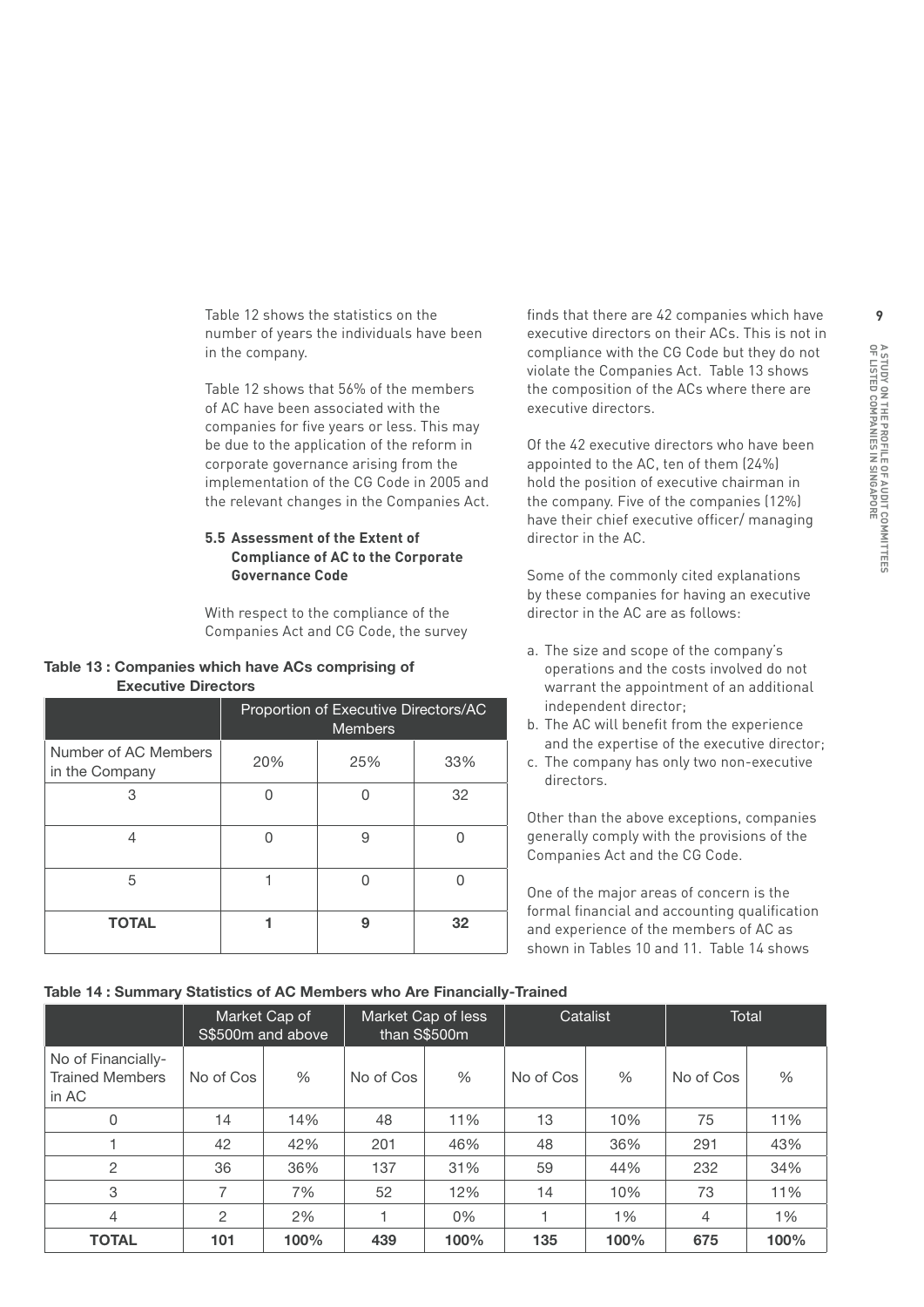Table 12 shows the statistics on the number of years the individuals have been in the company.

Table 12 shows that 56% of the members of AC have been associated with the companies for five years or less. This may be due to the application of the reform in corporate governance arising from the implementation of the CG Code in 2005 and the relevant changes in the Companies Act.

#### **5.5 Assessment of the Extent of Compliance of AC to the Corporate Governance Code**

With respect to the compliance of the Companies Act and CG Code, the survey

#### **Table 13 : Companies which have ACs comprising of Executive Directors**

|                                        | Proportion of Executive Directors/AC<br><b>Members</b> |     |     |  |  |
|----------------------------------------|--------------------------------------------------------|-----|-----|--|--|
| Number of AC Members<br>in the Company | 20%                                                    | 25% | 33% |  |  |
| 3                                      | ∩                                                      |     | 32  |  |  |
| 4                                      | ∩                                                      | 9   |     |  |  |
| 5                                      |                                                        |     |     |  |  |
| <b>TOTAL</b>                           |                                                        | 9   | 32  |  |  |

finds that there are 42 companies which have executive directors on their ACs. This is not in compliance with the CG Code but they do not violate the Companies Act. Table 13 shows the composition of the ACs where there are executive directors.

Of the 42 executive directors who have been appointed to the AC, ten of them (24%) hold the position of executive chairman in the company. Five of the companies (12%) have their chief executive officer/ managing director in the AC.

Some of the commonly cited explanations by these companies for having an executive director in the AC are as follows:

- a. The size and scope of the company's operations and the costs involved do not warrant the appointment of an additional independent director;
- b. The AC will benefit from the experience and the expertise of the executive director;
- c. The company has only two non-executive directors.

Other than the above exceptions, companies generally comply with the provisions of the Companies Act and the CG Code.

One of the major areas of concern is the formal financial and accounting qualification and experience of the members of AC as shown in Tables 10 and 11. Table 14 shows

#### **Table 14 : Summary Statistics of AC Members who Are Financially-Trained**

|                                                       |           | Market Cap of<br>S\$500m and above | Market Cap of less<br>than S\$500m |       | Catalist  |      | Total     |      |
|-------------------------------------------------------|-----------|------------------------------------|------------------------------------|-------|-----------|------|-----------|------|
| No of Financially-<br><b>Trained Members</b><br>in AC | No of Cos | $\%$                               | No of Cos                          | $\%$  | No of Cos | $\%$ | No of Cos | %    |
| 0                                                     | 14        | 14%                                | 48                                 | 11%   | 13        | 10%  | 75        | 11%  |
|                                                       | 42        | 42%                                | 201                                | 46%   | 48        | 36%  | 291       | 43%  |
| $\overline{2}$                                        | 36        | 36%                                | 137                                | 31%   | 59        | 44%  | 232       | 34%  |
| 3                                                     | 7         | 7%                                 | 52                                 | 12%   | 14        | 10%  | 73        | 11%  |
| 4                                                     | 2         | 2%                                 |                                    | $0\%$ |           | 1%   | 4         | 1%   |
| <b>TOTAL</b>                                          | 101       | 100%                               | 439                                | 100%  | 135       | 100% | 675       | 100% |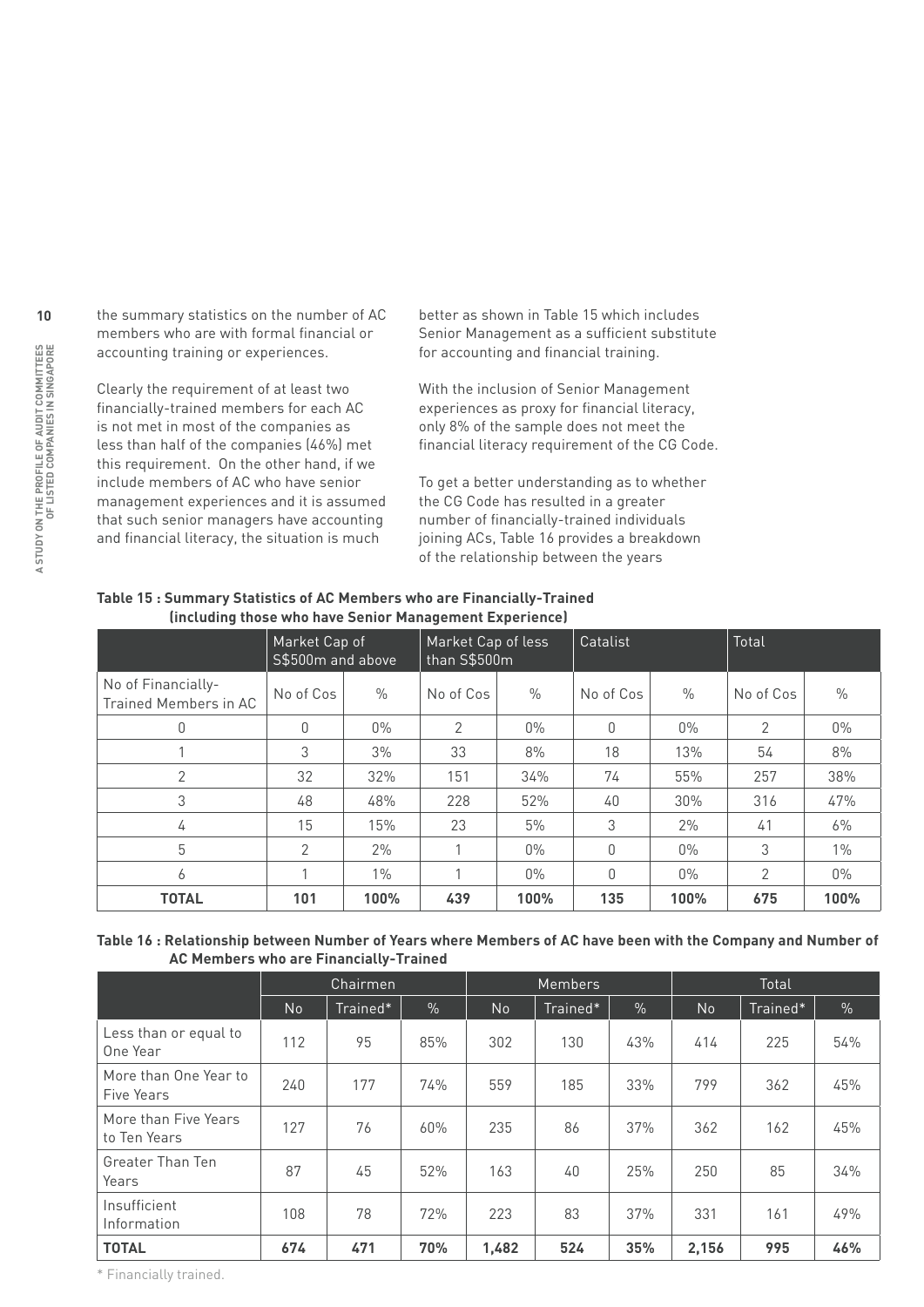the summary statistics on the number of AC members who are with formal financial or accounting training or experiences.

Clearly the requirement of at least two financially-trained members for each AC is not met in most of the companies as less than half of the companies (46%) met this requirement. On the other hand, if we include members of AC who have senior management experiences and it is assumed that such senior managers have accounting and financial literacy, the situation is much

better as shown in Table 15 which includes Senior Management as a sufficient substitute for accounting and financial training.

With the inclusion of Senior Management experiences as proxy for financial literacy, only 8% of the sample does not meet the financial literacy requirement of the CG Code.

To get a better understanding as to whether the CG Code has resulted in a greater number of financially-trained individuals joining ACs, Table 16 provides a breakdown of the relationship between the years

| (including those who have behior management experience) |                                    |               |                                    |       |           |       |           |       |
|---------------------------------------------------------|------------------------------------|---------------|------------------------------------|-------|-----------|-------|-----------|-------|
|                                                         | Market Cap of<br>S\$500m and above |               | Market Cap of less<br>than S\$500m |       | Catalist  |       | Total     |       |
| No of Financially-<br>Trained Members in AC             | No of Cos                          | $\frac{0}{0}$ | No of Cos                          | $\%$  | No of Cos | $\%$  | No of Cos | $\%$  |
| 0                                                       | $\Omega$                           | $0\%$         | $\overline{2}$                     | $0\%$ | O         | $0\%$ | 2         | $0\%$ |
|                                                         | 3                                  | 3%            | 33                                 | 8%    | 18        | 13%   | 54        | 8%    |
| 2                                                       | 32                                 | 32%           | 151                                | 34%   | 74        | 55%   | 257       | 38%   |
| 3                                                       | 48                                 | 48%           | 228                                | 52%   | 40        | 30%   | 316       | 47%   |
| 4                                                       | 15                                 | 15%           | 23                                 | 5%    | 3         | 2%    | 41        | 6%    |
| 5                                                       | 2                                  | 2%            |                                    | $0\%$ | 0         | $0\%$ | 3         | $1\%$ |
| 6                                                       |                                    | $1\%$         |                                    | $0\%$ | O         | $0\%$ | 2         | $0\%$ |
| <b>TOTAL</b>                                            | 101                                | 100%          | 439                                | 100%  | 135       | 100%  | 675       | 100%  |

#### **Table 15 : Summary Statistics of AC Members who are Financially-Trained (including those who have Cenier Man**

#### **Table 16 : Relationship between Number of Years where Members of AC have been with the Company and Number of AC Members who are Financially-Trained**

|                                      | Chairmen  |          |               | Members |          |     | Total |          |      |
|--------------------------------------|-----------|----------|---------------|---------|----------|-----|-------|----------|------|
|                                      | <b>No</b> | Trained* | $\frac{1}{2}$ | No      | Trained* | %   | No    | Trained* | $\%$ |
| Less than or equal to<br>One Year    | 112       | 95       | 85%           | 302     | 130      | 43% | 414   | 225      | 54%  |
| More than One Year to<br>Five Years  | 240       | 177      | 74%           | 559     | 185      | 33% | 799   | 362      | 45%  |
| More than Five Years<br>to Ten Years | 127       | 76       | 60%           | 235     | 86       | 37% | 362   | 162      | 45%  |
| Greater Than Ten<br>Years            | 87        | 45       | 52%           | 163     | 40       | 25% | 250   | 85       | 34%  |
| Insufficient<br>Information          | 108       | 78       | 72%           | 223     | 83       | 37% | 331   | 161      | 49%  |
| <b>TOTAL</b>                         | 674       | 471      | 70%           | 1,482   | 524      | 35% | 2,156 | 995      | 46%  |

\* Financially trained.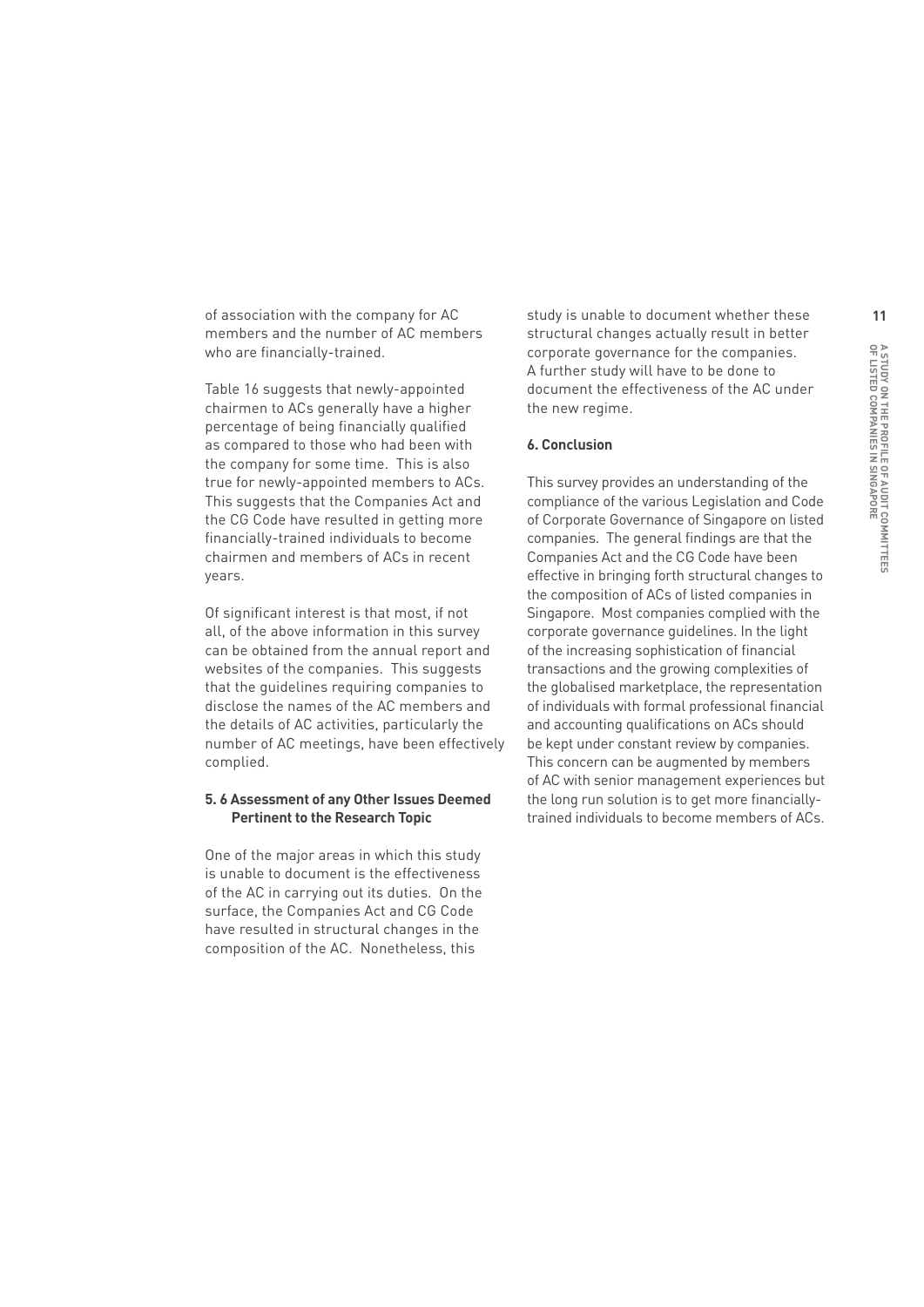of association with the company for AC members and the number of AC members who are financially-trained.

Table 16 suggests that newly-appointed chairmen to ACs generally have a higher percentage of being financially qualified as compared to those who had been with the company for some time. This is also true for newly-appointed members to ACs. This suggests that the Companies Act and the CG Code have resulted in getting more financially-trained individuals to become chairmen and members of ACs in recent years.

Of significant interest is that most, if not all, of the above information in this survey can be obtained from the annual report and websites of the companies. This suggests that the guidelines requiring companies to disclose the names of the AC members and the details of AC activities, particularly the number of AC meetings, have been effectively complied.

#### **5. 6 Assessment of any Other Issues Deemed Pertinent to the Research Topic**

One of the major areas in which this study is unable to document is the effectiveness of the AC in carrying out its duties. On the surface, the Companies Act and CG Code have resulted in structural changes in the composition of the AC. Nonetheless, this

study is unable to document whether these structural changes actually result in better corporate governance for the companies. A further study will have to be done to document the effectiveness of the AC under the new regime.

#### **6. Conclusion**

This survey provides an understanding of the compliance of the various Legislation and Code of Corporate Governance of Singapore on listed companies. The general findings are that the Companies Act and the CG Code have been effective in bringing forth structural changes to the composition of ACs of listed companies in Singapore. Most companies complied with the corporate governance guidelines. In the light of the increasing sophistication of financial transactions and the growing complexities of the globalised marketplace, the representation of individuals with formal professional financial and accounting qualifications on ACs should be kept under constant review by companies. This concern can be augmented by members of AC with senior management experiences but the long run solution is to get more financiallytrained individuals to become members of ACs.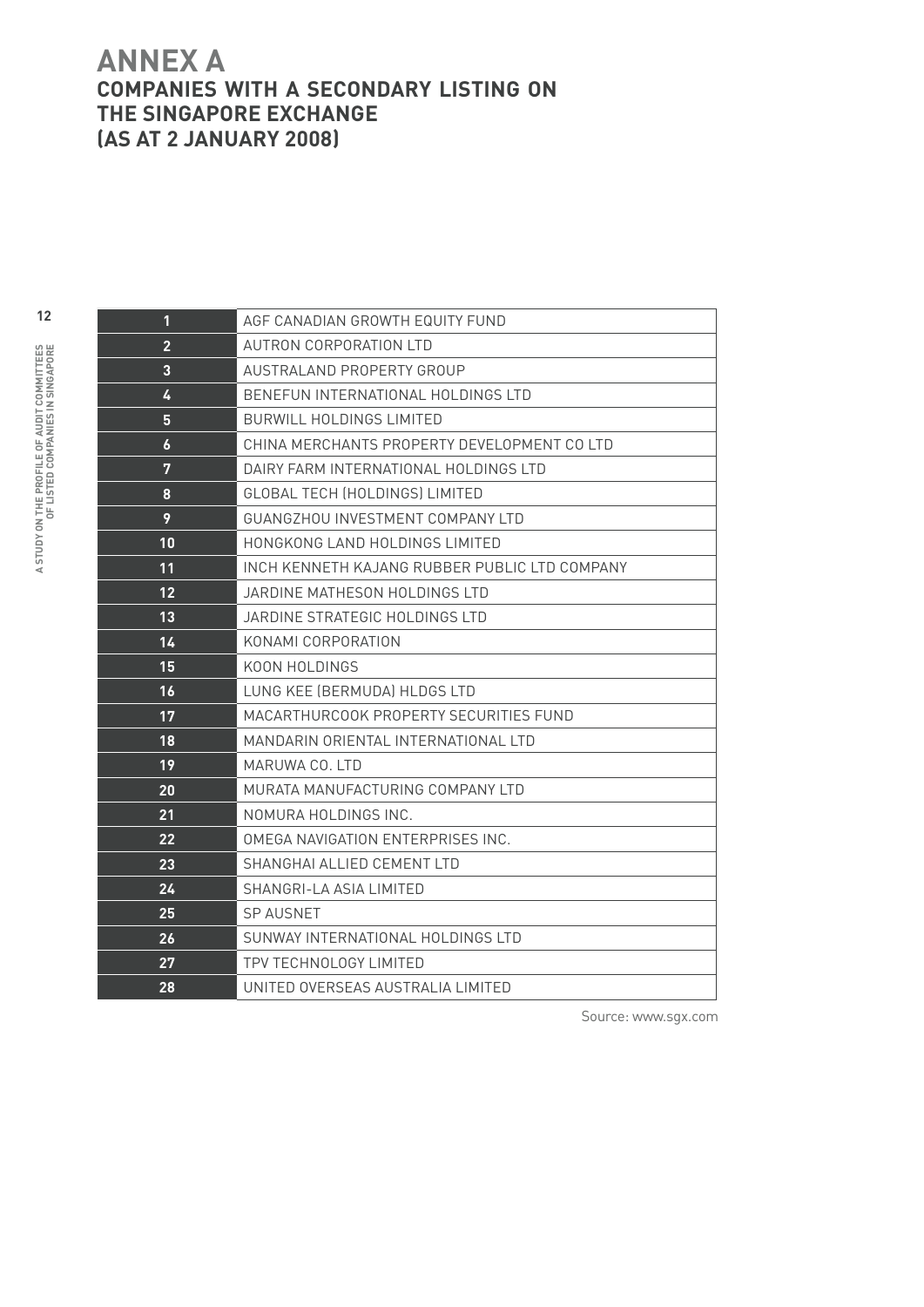# **ANNEX A Companies with a Secondary Listing on the Singapore Exchange (as at 2 January 2008)**

| 1                | AGF CANADIAN GROWTH EQUITY FUND               |
|------------------|-----------------------------------------------|
| $\overline{2}$   | AUTRON CORPORATION LTD                        |
| $\overline{3}$   | AUSTRALAND PROPERTY GROUP                     |
| 4                | BENEFUN INTERNATIONAL HOLDINGS LTD            |
| 5                | <b>BURWILL HOLDINGS LIMITED</b>               |
| $\boldsymbol{6}$ | CHINA MERCHANTS PROPERTY DEVELOPMENT CO LTD   |
| 7                | DAIRY FARM INTERNATIONAL HOLDINGS LTD         |
| 8                | GLOBAL TECH (HOLDINGS) LIMITED                |
| 9                | GUANGZHOU INVESTMENT COMPANY LTD              |
| 10               | HONGKONG LAND HOLDINGS LIMITED                |
| 11               | INCH KENNETH KAJANG RUBBER PUBLIC LTD COMPANY |
| 12               | JARDINE MATHESON HOLDINGS LTD                 |
| 13               | JARDINE STRATEGIC HOLDINGS LTD                |
| 14               | KONAMI CORPORATION                            |
| 15               | KOON HOLDINGS                                 |
| 16               | LUNG KEE (BERMUDA) HLDGS LTD                  |
| 17               | MACARTHURCOOK PROPERTY SECURITIES FUND        |
| 18               | MANDARIN ORIENTAL INTERNATIONAL LTD           |
| 19               | MARUWA CO. LTD                                |
| 20               | MURATA MANUFACTURING COMPANY ITD              |
| 21               | NOMURA HOLDINGS INC.                          |
| 22               | OMEGA NAVIGATION ENTERPRISES INC.             |
| 23               | SHANGHAI ALLIED CEMENT LTD                    |
| 24               | SHANGRI-LA ASIA LIMITED                       |
| 25               | <b>SP AUSNET</b>                              |
| 26               | SUNWAY INTERNATIONAL HOLDINGS LTD             |
| 27               | TPV TECHNOLOGY LIMITED                        |
| 28               | UNITED OVERSEAS AUSTRALIA LIMITED             |

Source: www.sgx.com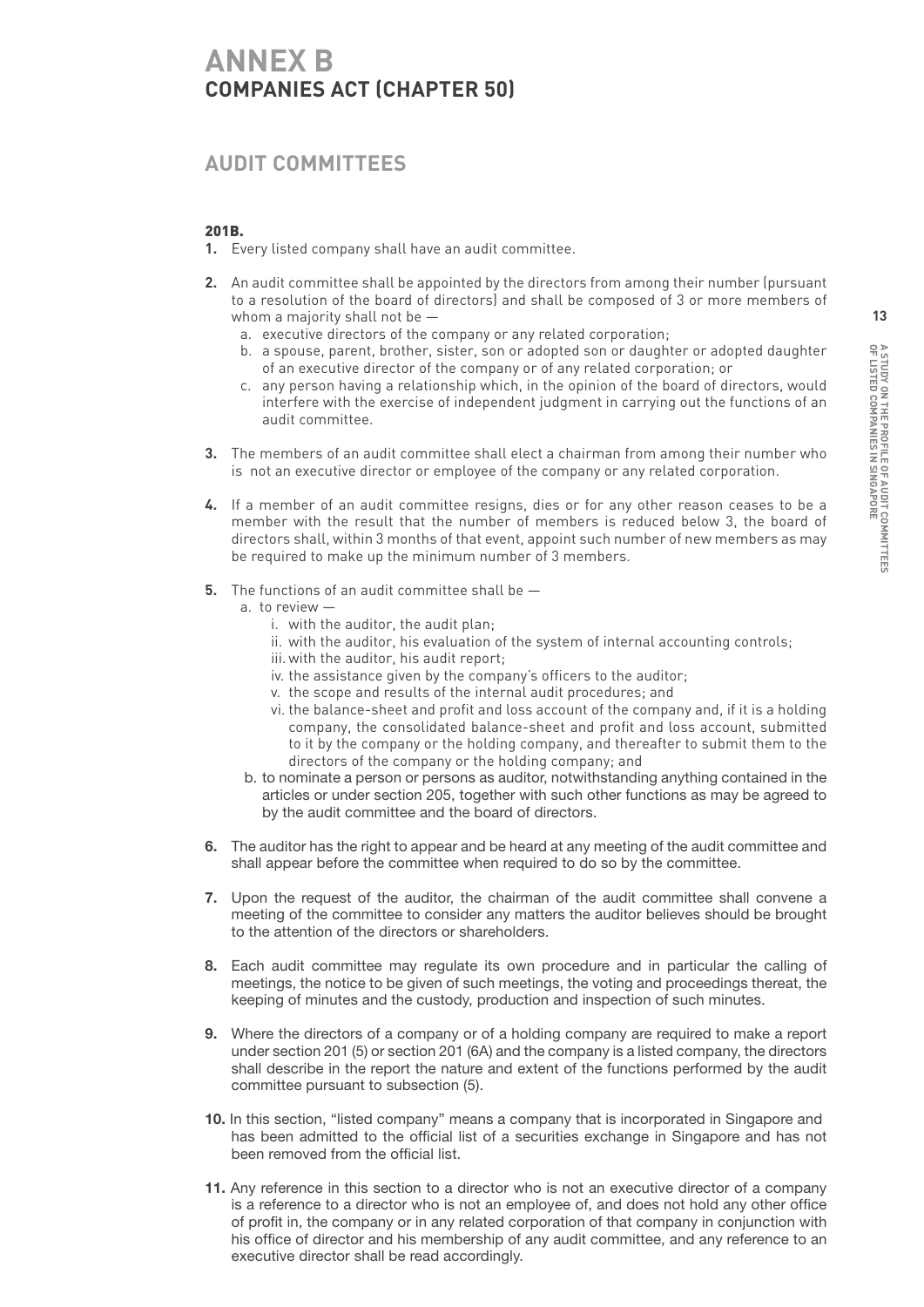# **ANNEX B Companies Act (Chapter 50)**

# **Audit committees**

#### 201B.

- **1.** Every listed company shall have an audit committee.
- **2.** An audit committee shall be appointed by the directors from among their number (pursuant to a resolution of the board of directors) and shall be composed of 3 or more members of whom a majority shall not be
	- a. executive directors of the company or any related corporation;
	- b. a spouse, parent, brother, sister, son or adopted son or daughter or adopted daughter of an executive director of the company or of any related corporation; or
	- c. any person having a relationship which, in the opinion of the board of directors, would interfere with the exercise of independent judgment in carrying out the functions of an audit committee.
- **3.** The members of an audit committee shall elect a chairman from among their number who is not an executive director or employee of the company or any related corporation.
- **4.** If a member of an audit committee resigns, dies or for any other reason ceases to be a member with the result that the number of members is reduced below 3, the board of directors shall, within 3 months of that event, appoint such number of new members as may be required to make up the minimum number of 3 members.
- **5.** The functions of an audit committee shall be
	- a. to review
		- i. with the auditor, the audit plan;
		- ii. with the auditor, his evaluation of the system of internal accounting controls;
		- iii. with the auditor, his audit report;
		- iv. the assistance given by the company's officers to the auditor;
		- v. the scope and results of the internal audit procedures; and
		- vi. the balance-sheet and profit and loss account of the company and, if it is a holding company, the consolidated balance-sheet and profit and loss account, submitted to it by the company or the holding company, and thereafter to submit them to the directors of the company or the holding company; and
	- b. to nominate a person or persons as auditor, notwithstanding anything contained in the articles or under section 205, together with such other functions as may be agreed to by the audit committee and the board of directors.
- **6.** The auditor has the right to appear and be heard at any meeting of the audit committee and shall appear before the committee when required to do so by the committee.
- **7.** Upon the request of the auditor, the chairman of the audit committee shall convene a meeting of the committee to consider any matters the auditor believes should be brought to the attention of the directors or shareholders.
- **8.** Each audit committee may regulate its own procedure and in particular the calling of meetings, the notice to be given of such meetings, the voting and proceedings thereat, the keeping of minutes and the custody, production and inspection of such minutes.
- **9.** Where the directors of a company or of a holding company are required to make a report under section 201 (5) or section 201 (6A) and the company is a listed company, the directors shall describe in the report the nature and extent of the functions performed by the audit committee pursuant to subsection (5).
- **10.** In this section, "listed company" means a company that is incorporated in Singapore and has been admitted to the official list of a securities exchange in Singapore and has not been removed from the official list.
- **11.** Any reference in this section to a director who is not an executive director of a company is a reference to a director who is not an employee of, and does not hold any other office of profit in, the company or in any related corporation of that company in conjunction with his office of director and his membership of any audit committee, and any reference to an executive director shall be read accordingly.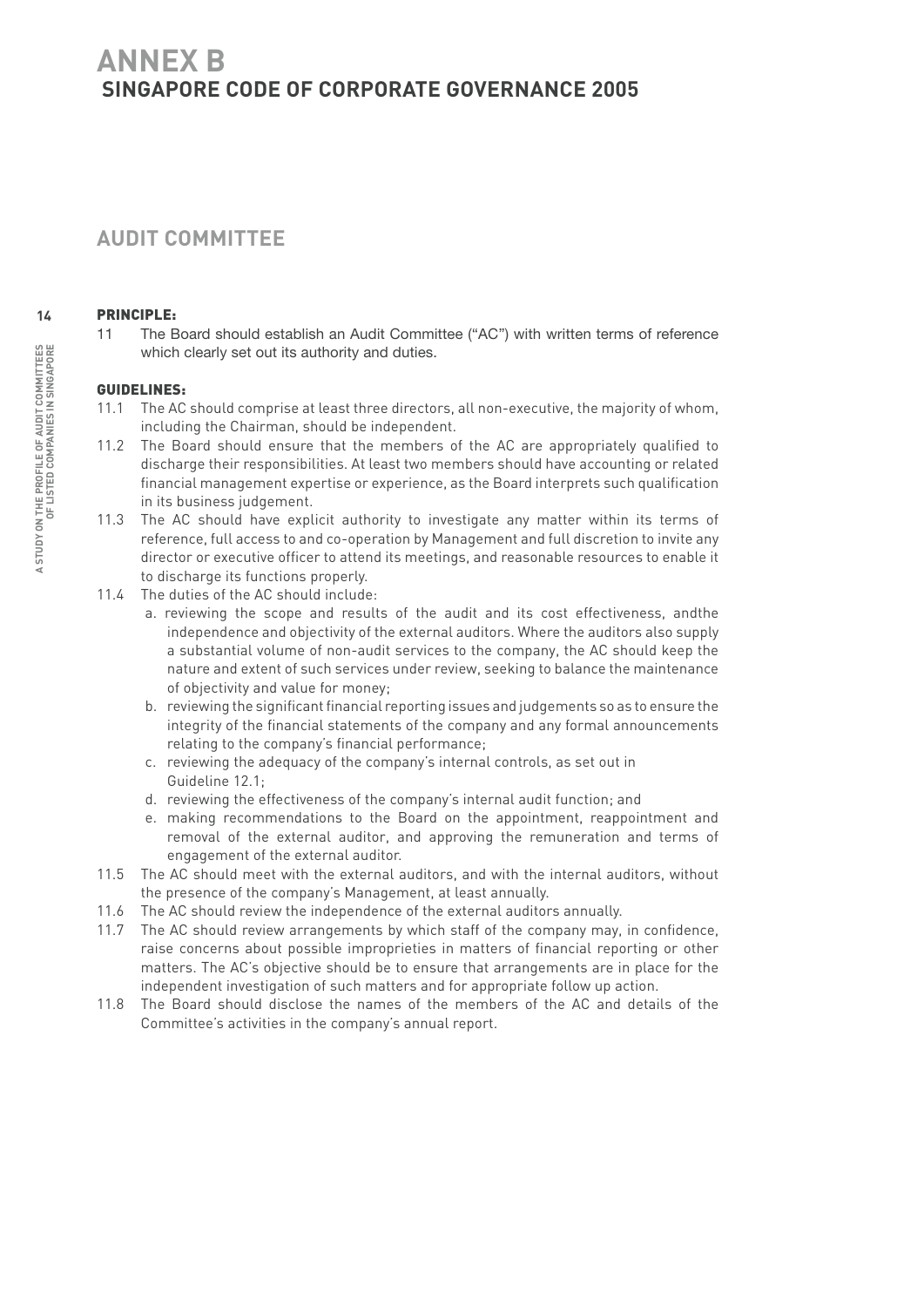# **ANNEX B SINGAPORE CODE OF CORPORATE GOVERNANCE 2005**

# **AUDIT COMMITTEE**

#### Principle:

11 The Board should establish an Audit Committee ("AC") with written terms of reference which clearly set out its authority and duties.

#### Guidelines:

- 11.1 The AC should comprise at least three directors, all non-executive, the majority of whom, including the Chairman, should be independent.
- 11.2 The Board should ensure that the members of the AC are appropriately qualified to discharge their responsibilities. At least two members should have accounting or related financial management expertise or experience, as the Board interprets such qualification in its business judgement.
- 11.3 The AC should have explicit authority to investigate any matter within its terms of reference, full access to and co-operation by Management and full discretion to invite any director or executive officer to attend its meetings, and reasonable resources to enable it to discharge its functions properly.
- 11.4 The duties of the AC should include:
	- a. reviewing the scope and results of the audit and its cost effectiveness, andthe independence and objectivity of the external auditors. Where the auditors also supply a substantial volume of non-audit services to the company, the AC should keep the nature and extent of such services under review, seeking to balance the maintenance of objectivity and value for money;
	- b. reviewing the significant financial reporting issues and judgements so as to ensure the integrity of the financial statements of the company and any formal announcements relating to the company's financial performance;
	- c. reviewing the adequacy of the company's internal controls, as set out in Guideline 12.1;
	- d. reviewing the effectiveness of the company's internal audit function; and
	- e. making recommendations to the Board on the appointment, reappointment and removal of the external auditor, and approving the remuneration and terms of engagement of the external auditor.
- 11.5 The AC should meet with the external auditors, and with the internal auditors, without the presence of the company's Management, at least annually.
- 11.6 The AC should review the independence of the external auditors annually.
- 11.7 The AC should review arrangements by which staff of the company may, in confidence, raise concerns about possible improprieties in matters of financial reporting or other matters. The AC's objective should be to ensure that arrangements are in place for the independent investigation of such matters and for appropriate follow up action.
- 11.8 The Board should disclose the names of the members of the AC and details of the Committee's activities in the company's annual report.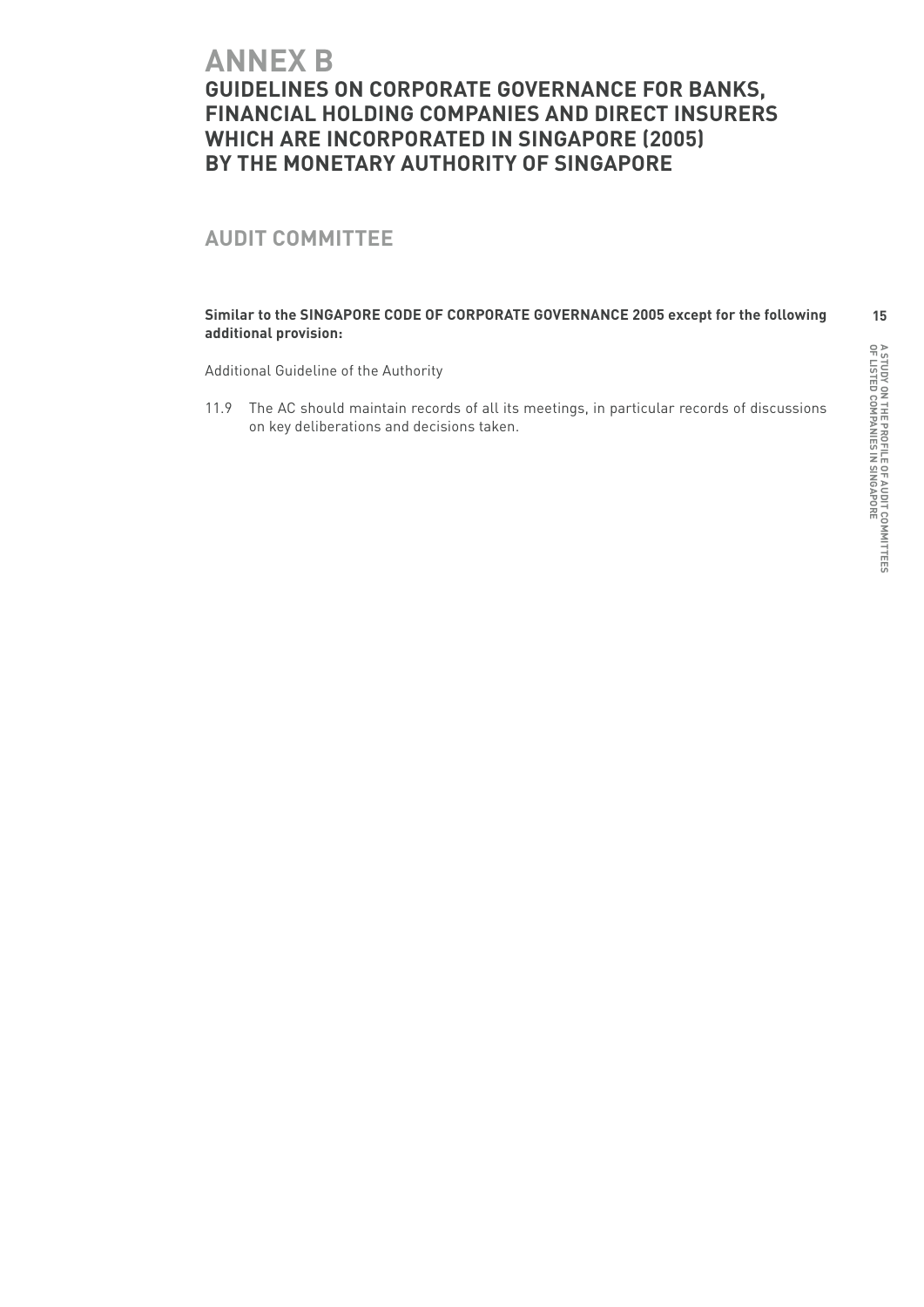# **ANNEX B GUIDELINES ON CORPORATE GOVERNANCE FOR BANKS, FINANCIAL HOLDING COMPANIES AND DIRECT INSURERS WHICH ARE INCORPORATED IN SINGAPORE (2005) by the Monetary Authority of Singapore**

# **AUDIT COMMITTEE**

#### **Similar to the SINGAPORE CODE OF CORPORATE GOVERNANCE 2005 except for the following additional provision:**

Additional Guideline of the Authority

11.9 The AC should maintain records of all its meetings, in particular records of discussions on key deliberations and decisions taken.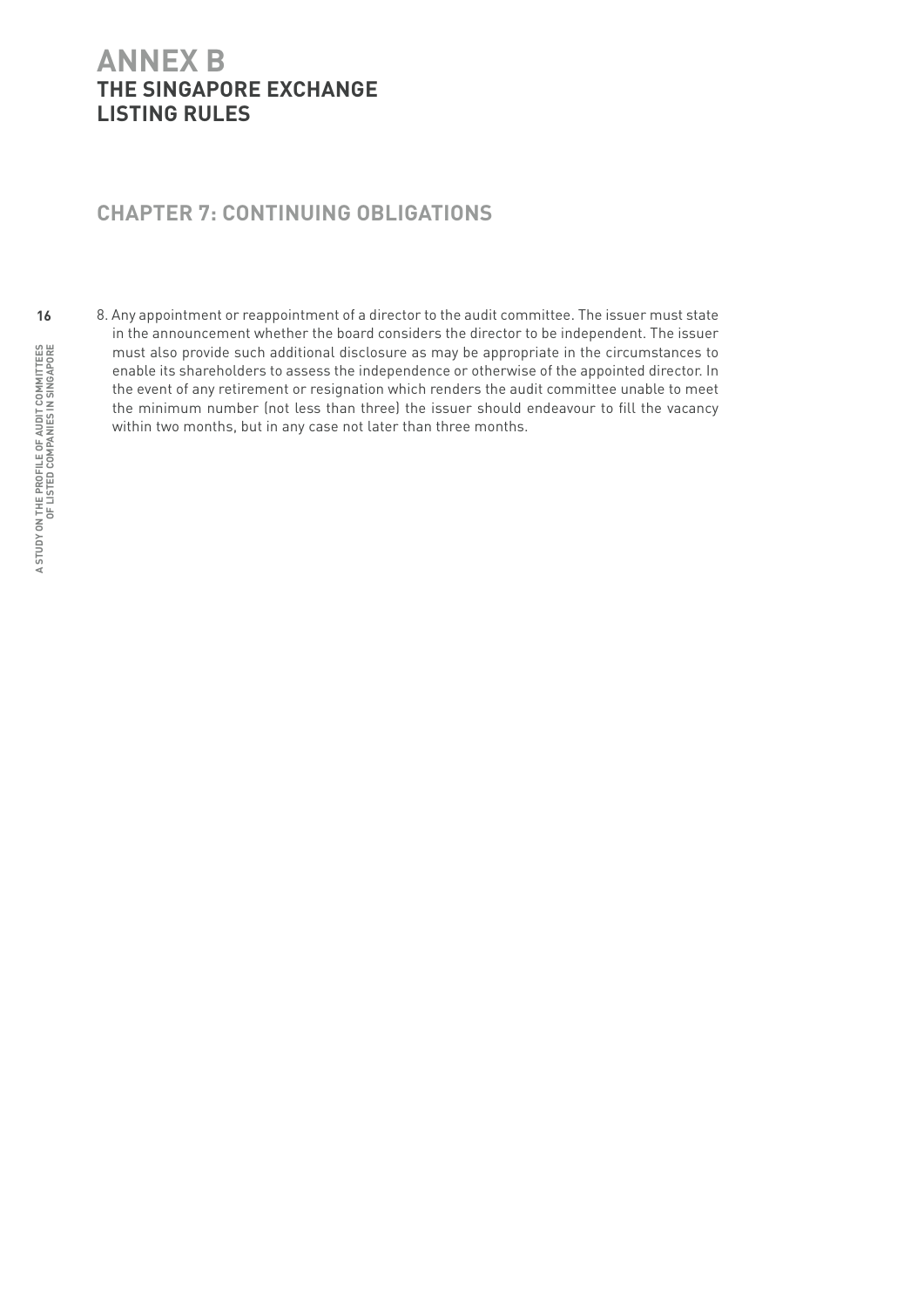# **ANNEX B THE SINGAPORE EXCHANGE LISTING RULES**

## **Chapter 7: Continuing Obligations**

8. Any appointment or reappointment of a director to the audit committee. The issuer must state in the announcement whether the board considers the director to be independent. The issuer must also provide such additional disclosure as may be appropriate in the circumstances to enable its shareholders to assess the independence or otherwise of the appointed director. In the event of any retirement or resignation which renders the audit committee unable to meet the minimum number (not less than three) the issuer should endeavour to fill the vacancy within two months, but in any case not later than three months.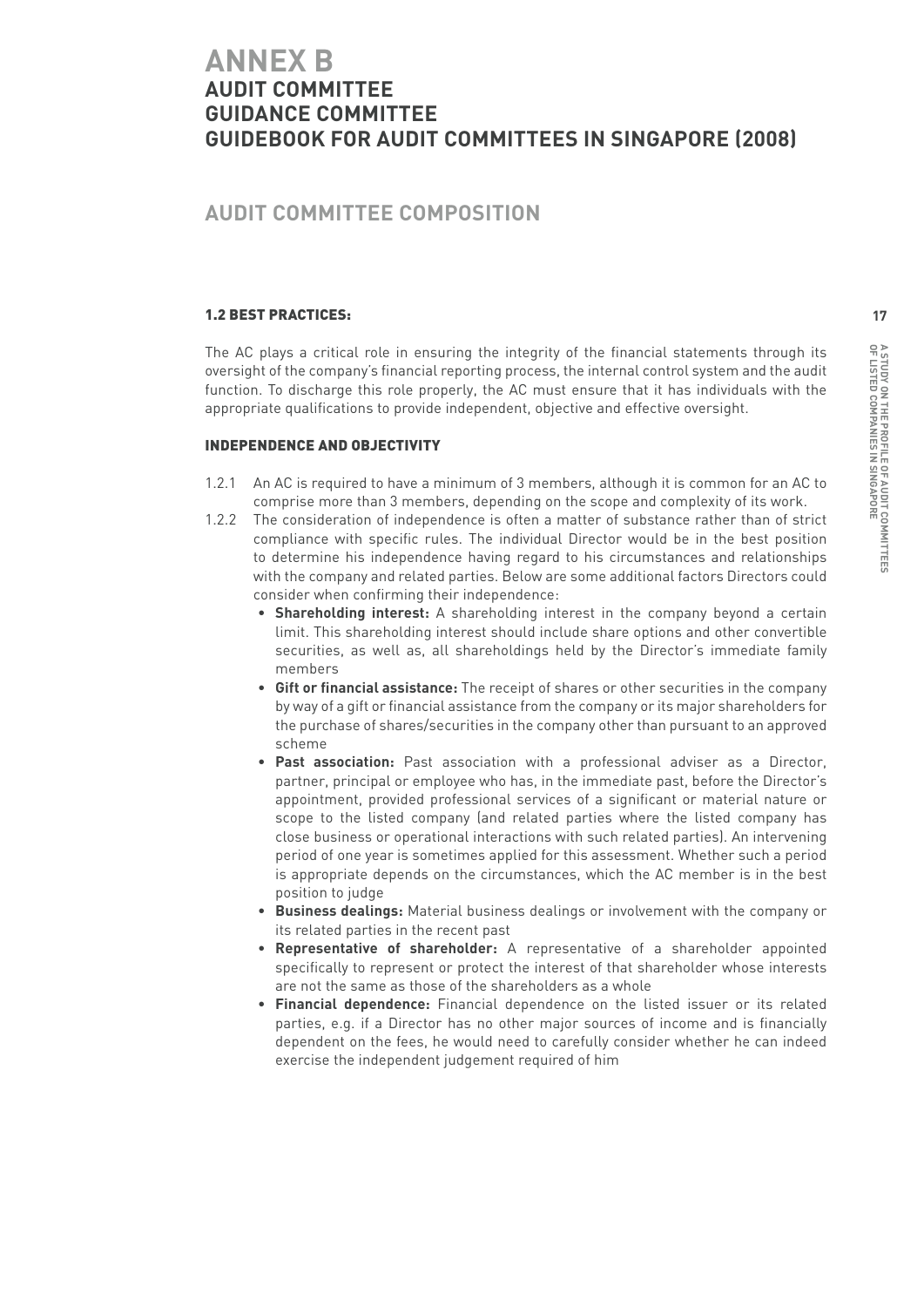# **ANNEX B AUDIT COMMITTEE GUIDANCE COMMITTEE GUIDEBOOK FOR AUDIT COMMITTEES IN SINGAPORE (2008)**

## **Audit Committee Composition**

#### 1.2 Best Practices:

The AC plays a critical role in ensuring the integrity of the financial statements through its oversight of the company's financial reporting process, the internal control system and the audit function. To discharge this role properly, the AC must ensure that it has individuals with the appropriate qualifications to provide independent, objective and effective oversight.

#### Independence and Objectivity

- 1.2.1 An AC is required to have a minimum of 3 members, although it is common for an AC to comprise more than 3 members, depending on the scope and complexity of its work.
- 1.2.2 The consideration of independence is often a matter of substance rather than of strict compliance with specific rules. The individual Director would be in the best position to determine his independence having regard to his circumstances and relationships with the company and related parties. Below are some additional factors Directors could consider when confirming their independence:
	- **Shareholding interest:** A shareholding interest in the company beyond a certain limit. This shareholding interest should include share options and other convertible securities, as well as, all shareholdings held by the Director's immediate family members
	- **Gift or financial assistance:** The receipt of shares or other securities in the company by way of a gift or financial assistance from the company or its major shareholders for the purchase of shares/securities in the company other than pursuant to an approved scheme
	- **Past association:** Past association with a professional adviser as a Director, partner, principal or employee who has, in the immediate past, before the Director's appointment, provided professional services of a significant or material nature or scope to the listed company (and related parties where the listed company has close business or operational interactions with such related parties). An intervening period of one year is sometimes applied for this assessment. Whether such a period is appropriate depends on the circumstances, which the AC member is in the best position to judge
	- **Business dealings:** Material business dealings or involvement with the company or its related parties in the recent past
	- **Representative of shareholder:** A representative of a shareholder appointed specifically to represent or protect the interest of that shareholder whose interests are not the same as those of the shareholders as a whole
	- **Financial dependence:** Financial dependence on the listed issuer or its related parties, e.g. if a Director has no other major sources of income and is financially dependent on the fees, he would need to carefully consider whether he can indeed exercise the independent judgement required of him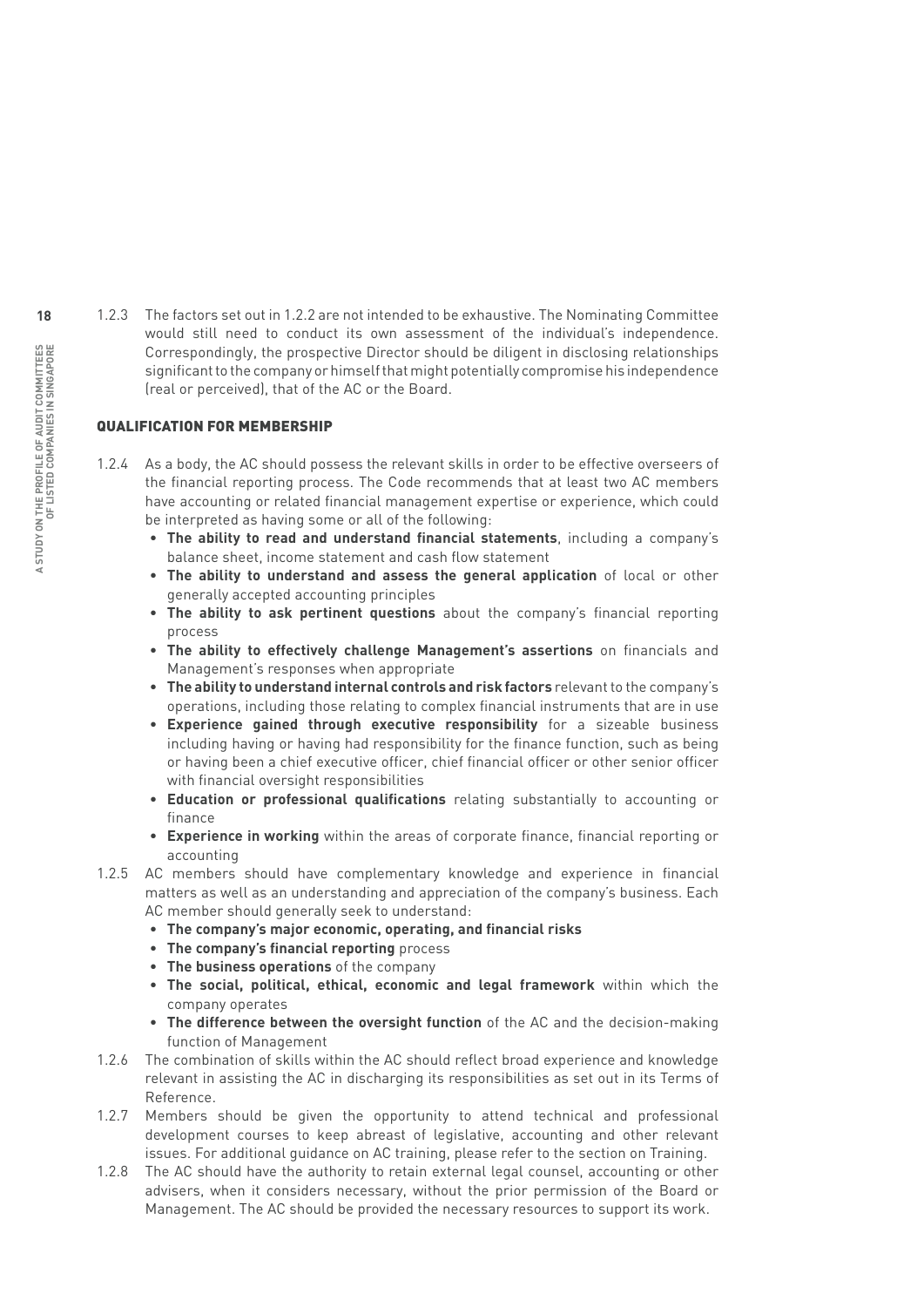1.2.3 The factors set out in 1.2.2 are not intended to be exhaustive. The Nominating Committee would still need to conduct its own assessment of the individual's independence. Correspondingly, the prospective Director should be diligent in disclosing relationships significant to the company or himself that might potentially compromise his independence (real or perceived), that of the AC or the Board.

#### Qualification for membership

- 1.2.4 As a body, the AC should possess the relevant skills in order to be effective overseers of the financial reporting process. The Code recommends that at least two AC members have accounting or related financial management expertise or experience, which could be interpreted as having some or all of the following:
	- **The ability to read and understand financial statements**, including a company's balance sheet, income statement and cash flow statement
	- **The ability to understand and assess the general application** of local or other generally accepted accounting principles
	- **The ability to ask pertinent questions** about the company's financial reporting process
	- **The ability to effectively challenge Management's assertions** on financials and Management's responses when appropriate
	- **The ability to understand internal controls and risk factors** relevant to the company's operations, including those relating to complex financial instruments that are in use
	- **Experience gained through executive responsibility** for a sizeable business including having or having had responsibility for the finance function, such as being or having been a chief executive officer, chief financial officer or other senior officer with financial oversight responsibilities
	- **Education or professional qualifications** relating substantially to accounting or finance
	- **Experience in working** within the areas of corporate finance, financial reporting or accounting
- 1.2.5 AC members should have complementary knowledge and experience in financial matters as well as an understanding and appreciation of the company's business. Each AC member should generally seek to understand:
	- **The company's major economic, operating, and financial risks**
	- **The company's financial reporting** process
	- **The business operations** of the company
	- **The social, political, ethical, economic and legal framework** within which the company operates
	- **The difference between the oversight function** of the AC and the decision-making function of Management
- 1.2.6 The combination of skills within the AC should reflect broad experience and knowledge relevant in assisting the AC in discharging its responsibilities as set out in its Terms of Reference.
- 1.2.7 Members should be given the opportunity to attend technical and professional development courses to keep abreast of legislative, accounting and other relevant issues. For additional guidance on AC training, please refer to the section on Training.
- 1.2.8 The AC should have the authority to retain external legal counsel, accounting or other advisers, when it considers necessary, without the prior permission of the Board or Management. The AC should be provided the necessary resources to support its work.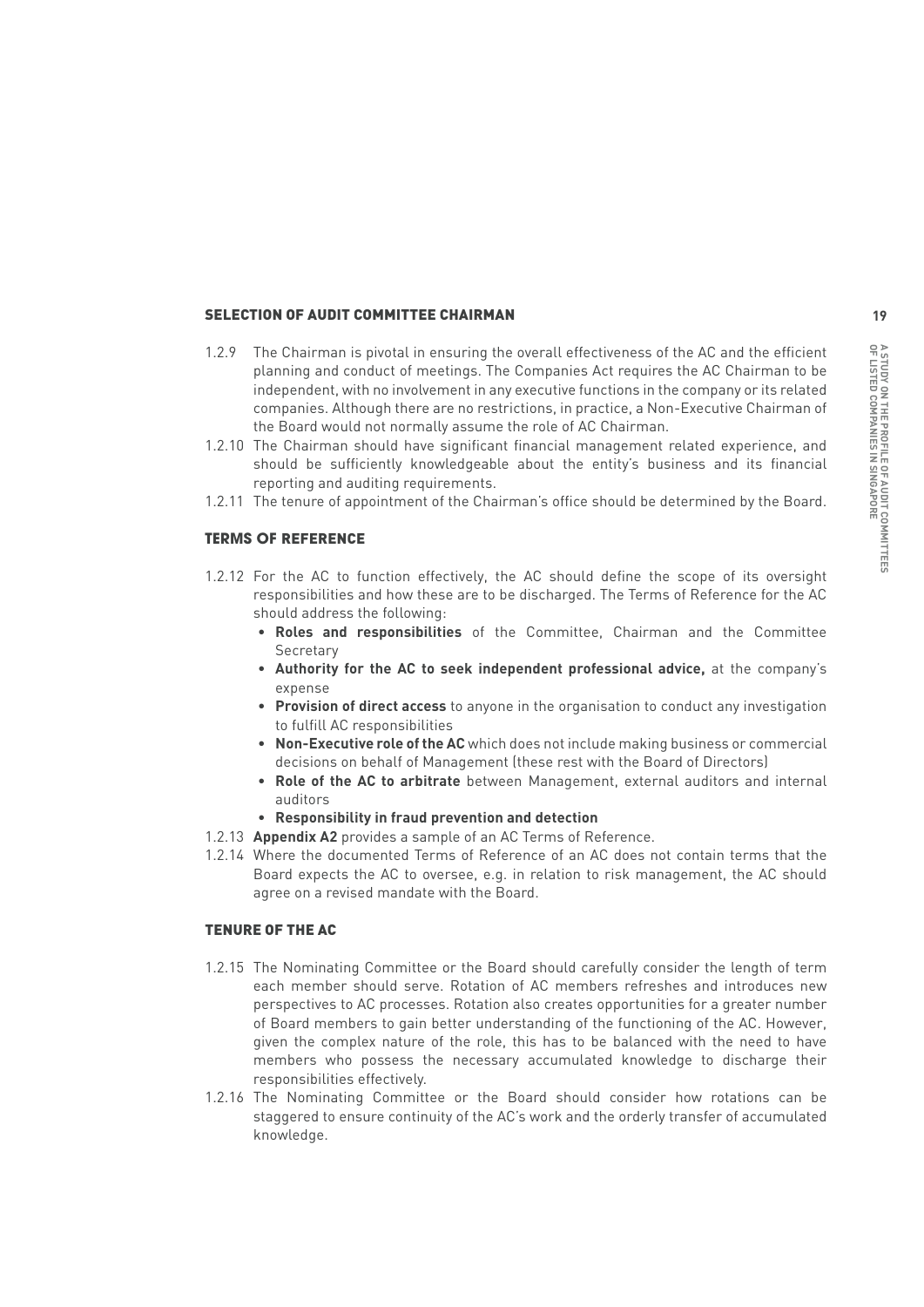#### SELECTION OF AUDIT COMMITTEE CHAIRMAN

- 1.2.9 The Chairman is pivotal in ensuring the overall effectiveness of the AC and the efficient planning and conduct of meetings. The Companies Act requires the AC Chairman to be independent, with no involvement in any executive functions in the company or its related companies. Although there are no restrictions, in practice, a Non-Executive Chairman of the Board would not normally assume the role of AC Chairman.
- 1.2.10 The Chairman should have significant financial management related experience, and should be sufficiently knowledgeable about the entity's business and its financial reporting and auditing requirements.
- 1.2.11 The tenure of appointment of the Chairman's office should be determined by the Board.

#### **Terms of** Reference

- 1.2.12 For the AC to function effectively, the AC should define the scope of its oversight responsibilities and how these are to be discharged. The Terms of Reference for the AC should address the following:
	- **Roles and responsibilities** of the Committee, Chairman and the Committee Secretary
	- **Authority for the AC to seek independent professional advice,** at the company's expense
	- **Provision of direct access** to anyone in the organisation to conduct any investigation to fulfill AC responsibilities
	- **Non-Executive role of the AC** which does not include making business or commercial decisions on behalf of Management (these rest with the Board of Directors)
	- **Role of the AC to arbitrate** between Management, external auditors and internal auditors
	- **Responsibility in fraud prevention and detection**
- 1.2.13 **Appendix A2** provides a sample of an AC Terms of Reference.
- 1.2.14 Where the documented Terms of Reference of an AC does not contain terms that the Board expects the AC to oversee, e.g. in relation to risk management, the AC should agree on a revised mandate with the Board.

#### Tenure of the AC

- 1.2.15 The Nominating Committee or the Board should carefully consider the length of term each member should serve. Rotation of AC members refreshes and introduces new perspectives to AC processes. Rotation also creates opportunities for a greater number of Board members to gain better understanding of the functioning of the AC. However, given the complex nature of the role, this has to be balanced with the need to have members who possess the necessary accumulated knowledge to discharge their responsibilities effectively.
- 1.2.16 The Nominating Committee or the Board should consider how rotations can be staggered to ensure continuity of the AC's work and the orderly transfer of accumulated knowledge.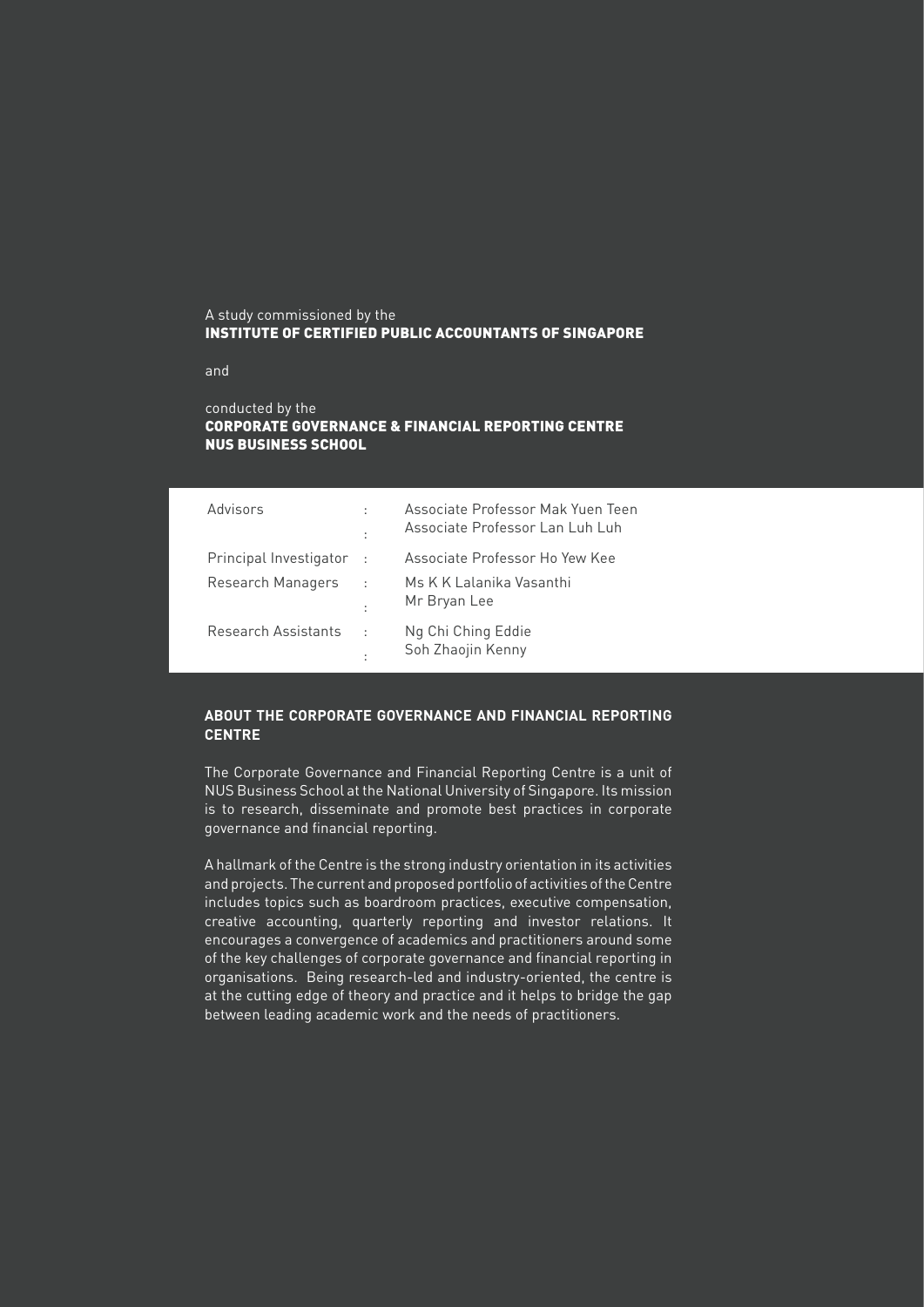#### A study commissioned by the Institute of Certified Public Accountants of Singapore

and

#### conducted by the Corporate Governance & Financial Reporting Centre NUS Business School

| Advisors               | ÷<br>t       | Associate Professor Mak Yuen Teen<br>Associate Professor Lan Luh Luh |
|------------------------|--------------|----------------------------------------------------------------------|
| Principal Investigator | - 1          | Associate Professor Ho Yew Kee                                       |
| Research Managers      | ÷<br>÷       | Ms K K Lalanika Vasanthi<br>Mr Bryan Lee                             |
| Research Assistants    | $\cdot$<br>t | Ng Chi Ching Eddie<br>Soh Zhaojin Kenny                              |

#### **About the Corporate Governance and Financial Reporting Centre**

The Corporate Governance and Financial Reporting Centre is a unit of NUS Business School at the National University of Singapore. Its mission is to research, disseminate and promote best practices in corporate governance and financial reporting.

A hallmark of the Centre is the strong industry orientation in its activities and projects. The current and proposed portfolio of activities of the Centre includes topics such as boardroom practices, executive compensation, creative accounting, quarterly reporting and investor relations. It encourages a convergence of academics and practitioners around some of the key challenges of corporate governance and financial reporting in organisations. Being research-led and industry-oriented, the centre is at the cutting edge of theory and practice and it helps to bridge the gap between leading academic work and the needs of practitioners.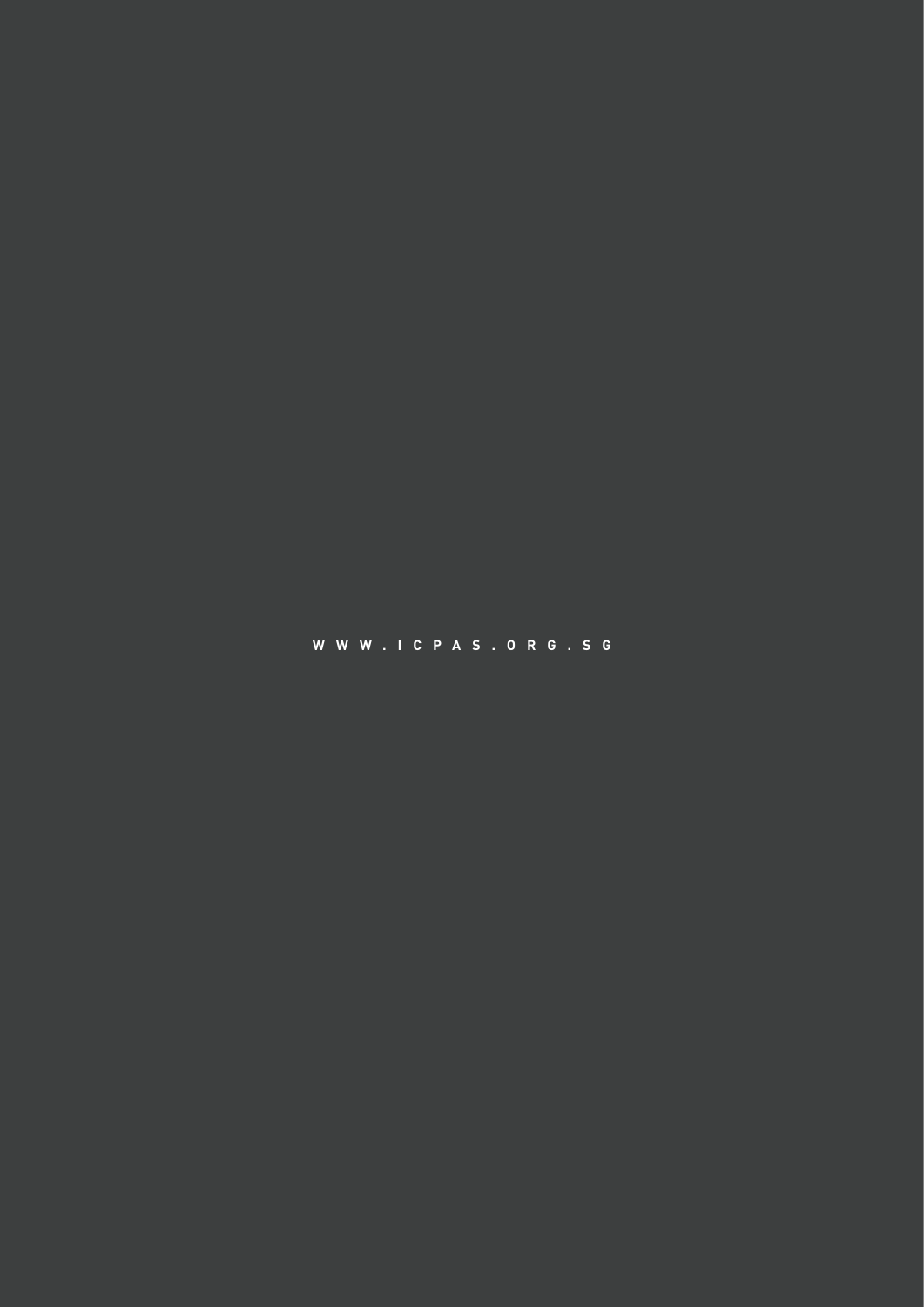**w w w . i c p a s . o r g . s g**